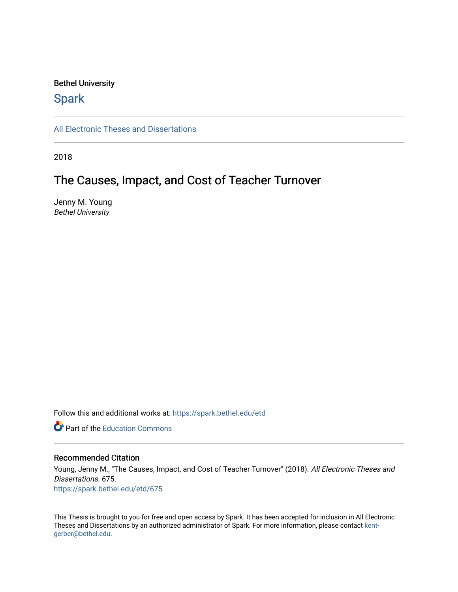#### Bethel University

# **Spark**

[All Electronic Theses and Dissertations](https://spark.bethel.edu/etd) 

2018

# The Causes, Impact, and Cost of Teacher Turnover

Jenny M. Young Bethel University

Follow this and additional works at: [https://spark.bethel.edu/etd](https://spark.bethel.edu/etd?utm_source=spark.bethel.edu%2Fetd%2F675&utm_medium=PDF&utm_campaign=PDFCoverPages)

**C** Part of the [Education Commons](http://network.bepress.com/hgg/discipline/784?utm_source=spark.bethel.edu%2Fetd%2F675&utm_medium=PDF&utm_campaign=PDFCoverPages)

#### Recommended Citation

Young, Jenny M., "The Causes, Impact, and Cost of Teacher Turnover" (2018). All Electronic Theses and Dissertations. 675. [https://spark.bethel.edu/etd/675](https://spark.bethel.edu/etd/675?utm_source=spark.bethel.edu%2Fetd%2F675&utm_medium=PDF&utm_campaign=PDFCoverPages)

This Thesis is brought to you for free and open access by Spark. It has been accepted for inclusion in All Electronic Theses and Dissertations by an authorized administrator of Spark. For more information, please contact [kent](mailto:kent-gerber@bethel.edu)[gerber@bethel.edu.](mailto:kent-gerber@bethel.edu)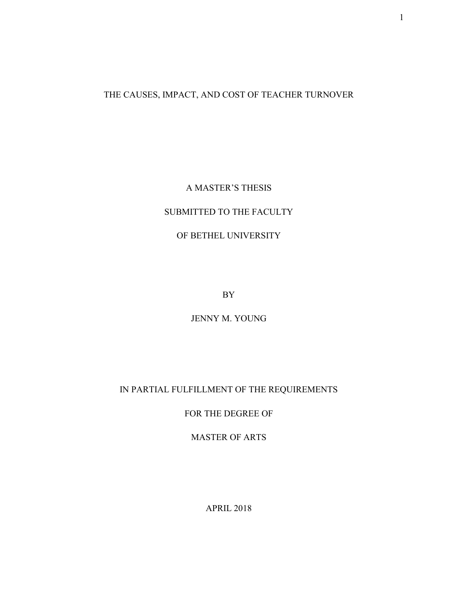# THE CAUSES, IMPACT, AND COST OF TEACHER TURNOVER

### A MASTER'S THESIS

### SUBMITTED TO THE FACULTY

### OF BETHEL UNIVERSITY

BY

JENNY M. YOUNG

### IN PARTIAL FULFILLMENT OF THE REQUIREMENTS

FOR THE DEGREE OF

MASTER OF ARTS

APRIL 2018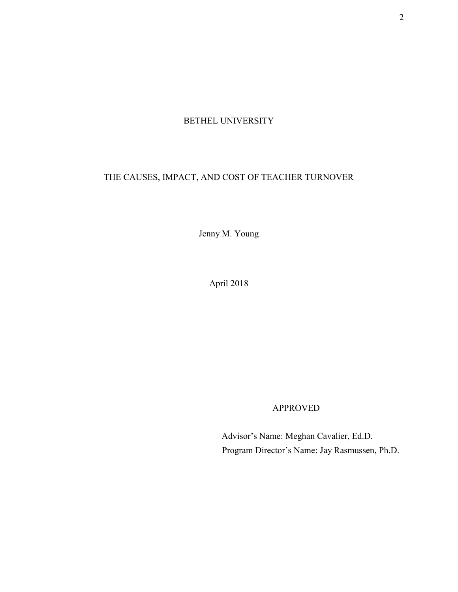# BETHEL UNIVERSITY

# THE CAUSES, IMPACT, AND COST OF TEACHER TURNOVER

Jenny M. Young

April 2018

APPROVED

 Advisor's Name: Meghan Cavalier, Ed.D. Program Director's Name: Jay Rasmussen, Ph.D.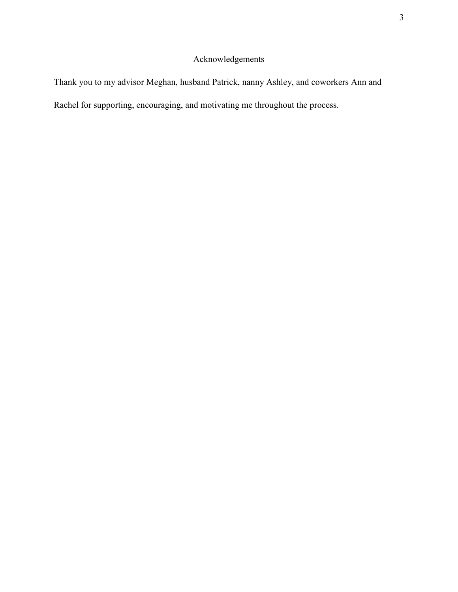# Acknowledgements

Thank you to my advisor Meghan, husband Patrick, nanny Ashley, and coworkers Ann and Rachel for supporting, encouraging, and motivating me throughout the process.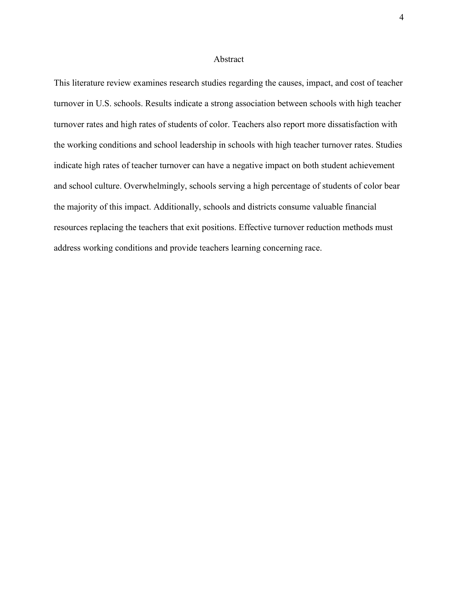#### Abstract

This literature review examines research studies regarding the causes, impact, and cost of teacher turnover in U.S. schools. Results indicate a strong association between schools with high teacher turnover rates and high rates of students of color. Teachers also report more dissatisfaction with the working conditions and school leadership in schools with high teacher turnover rates. Studies indicate high rates of teacher turnover can have a negative impact on both student achievement and school culture. Overwhelmingly, schools serving a high percentage of students of color bear the majority of this impact. Additionally, schools and districts consume valuable financial resources replacing the teachers that exit positions. Effective turnover reduction methods must address working conditions and provide teachers learning concerning race.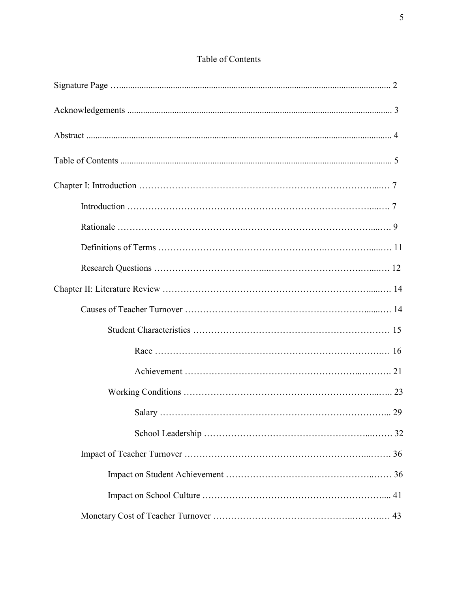| Salary | 29 |
|--------|----|
|        |    |
|        |    |
|        |    |
|        |    |
|        |    |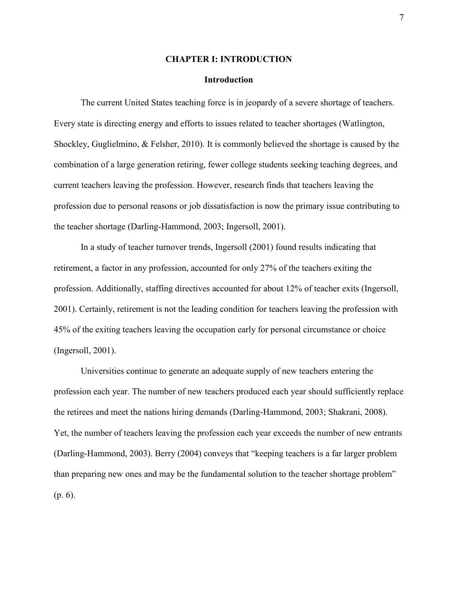#### **CHAPTER I: INTRODUCTION**

#### **Introduction**

The current United States teaching force is in jeopardy of a severe shortage of teachers. Every state is directing energy and efforts to issues related to teacher shortages (Watlington, Shockley, Guglielmino, & Felsher, 2010). It is commonly believed the shortage is caused by the combination of a large generation retiring, fewer college students seeking teaching degrees, and current teachers leaving the profession. However, research finds that teachers leaving the profession due to personal reasons or job dissatisfaction is now the primary issue contributing to the teacher shortage (Darling-Hammond, 2003; Ingersoll, 2001).

In a study of teacher turnover trends, Ingersoll (2001) found results indicating that retirement, a factor in any profession, accounted for only 27% of the teachers exiting the profession. Additionally, staffing directives accounted for about 12% of teacher exits (Ingersoll, 2001). Certainly, retirement is not the leading condition for teachers leaving the profession with 45% of the exiting teachers leaving the occupation early for personal circumstance or choice (Ingersoll, 2001).

Universities continue to generate an adequate supply of new teachers entering the profession each year. The number of new teachers produced each year should sufficiently replace the retirees and meet the nations hiring demands (Darling-Hammond, 2003; Shakrani, 2008). Yet, the number of teachers leaving the profession each year exceeds the number of new entrants (Darling-Hammond, 2003). Berry (2004) conveys that "keeping teachers is a far larger problem than preparing new ones and may be the fundamental solution to the teacher shortage problem" (p. 6).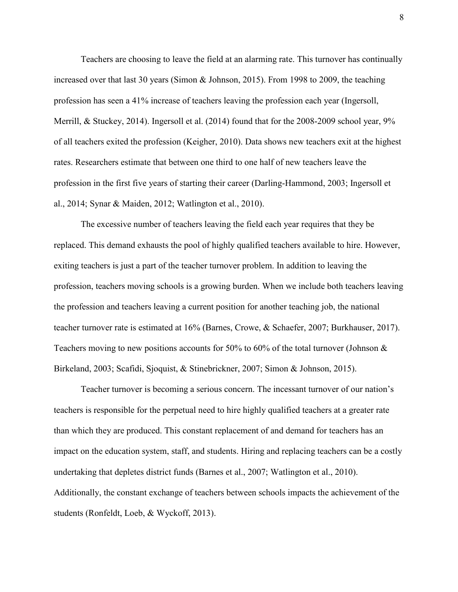Teachers are choosing to leave the field at an alarming rate. This turnover has continually increased over that last 30 years (Simon & Johnson, 2015). From 1998 to 2009, the teaching profession has seen a 41% increase of teachers leaving the profession each year (Ingersoll, Merrill, & Stuckey, 2014). Ingersoll et al. (2014) found that for the 2008-2009 school year, 9% of all teachers exited the profession (Keigher, 2010). Data shows new teachers exit at the highest rates. Researchers estimate that between one third to one half of new teachers leave the profession in the first five years of starting their career (Darling-Hammond, 2003; Ingersoll et al., 2014; Synar & Maiden, 2012; Watlington et al., 2010).

The excessive number of teachers leaving the field each year requires that they be replaced. This demand exhausts the pool of highly qualified teachers available to hire. However, exiting teachers is just a part of the teacher turnover problem. In addition to leaving the profession, teachers moving schools is a growing burden. When we include both teachers leaving the profession and teachers leaving a current position for another teaching job, the national teacher turnover rate is estimated at 16% (Barnes, Crowe, & Schaefer, 2007; Burkhauser, 2017). Teachers moving to new positions accounts for 50% to 60% of the total turnover (Johnson & Birkeland, 2003; Scafidi, Sjoquist, & Stinebrickner, 2007; Simon & Johnson, 2015).

Teacher turnover is becoming a serious concern. The incessant turnover of our nation's teachers is responsible for the perpetual need to hire highly qualified teachers at a greater rate than which they are produced. This constant replacement of and demand for teachers has an impact on the education system, staff, and students. Hiring and replacing teachers can be a costly undertaking that depletes district funds (Barnes et al., 2007; Watlington et al., 2010). Additionally, the constant exchange of teachers between schools impacts the achievement of the students (Ronfeldt, Loeb, & Wyckoff, 2013).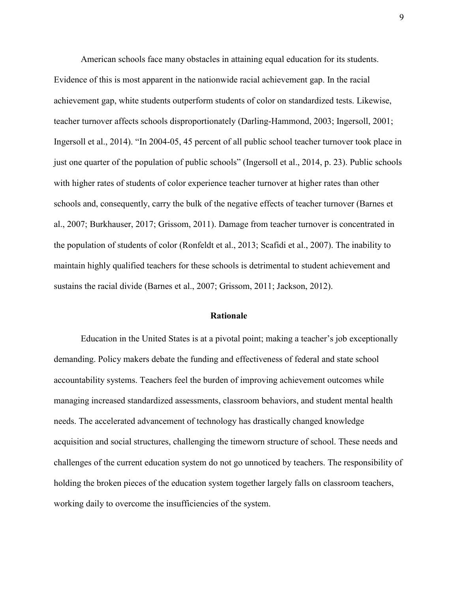American schools face many obstacles in attaining equal education for its students. Evidence of this is most apparent in the nationwide racial achievement gap. In the racial achievement gap, white students outperform students of color on standardized tests. Likewise, teacher turnover affects schools disproportionately (Darling-Hammond, 2003; Ingersoll, 2001; Ingersoll et al., 2014). "In 2004-05, 45 percent of all public school teacher turnover took place in just one quarter of the population of public schools" (Ingersoll et al., 2014, p. 23). Public schools with higher rates of students of color experience teacher turnover at higher rates than other schools and, consequently, carry the bulk of the negative effects of teacher turnover (Barnes et al., 2007; Burkhauser, 2017; Grissom, 2011). Damage from teacher turnover is concentrated in the population of students of color (Ronfeldt et al., 2013; Scafidi et al., 2007). The inability to maintain highly qualified teachers for these schools is detrimental to student achievement and sustains the racial divide (Barnes et al., 2007; Grissom, 2011; Jackson, 2012).

#### **Rationale**

Education in the United States is at a pivotal point; making a teacher's job exceptionally demanding. Policy makers debate the funding and effectiveness of federal and state school accountability systems. Teachers feel the burden of improving achievement outcomes while managing increased standardized assessments, classroom behaviors, and student mental health needs. The accelerated advancement of technology has drastically changed knowledge acquisition and social structures, challenging the timeworn structure of school. These needs and challenges of the current education system do not go unnoticed by teachers. The responsibility of holding the broken pieces of the education system together largely falls on classroom teachers, working daily to overcome the insufficiencies of the system.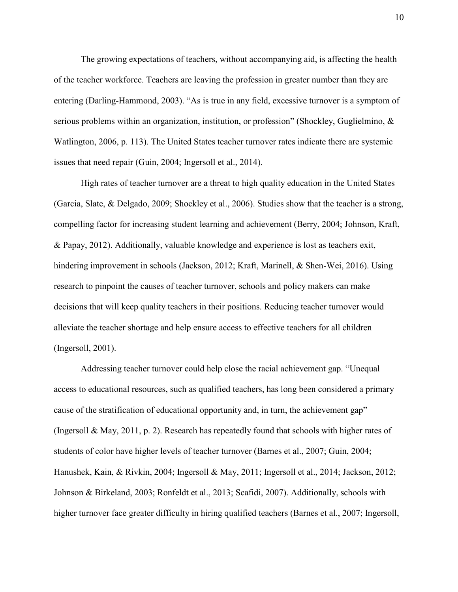The growing expectations of teachers, without accompanying aid, is affecting the health of the teacher workforce. Teachers are leaving the profession in greater number than they are entering (Darling-Hammond, 2003). "As is true in any field, excessive turnover is a symptom of serious problems within an organization, institution, or profession" (Shockley, Guglielmino, & Watlington, 2006, p. 113). The United States teacher turnover rates indicate there are systemic issues that need repair (Guin, 2004; Ingersoll et al., 2014).

High rates of teacher turnover are a threat to high quality education in the United States (Garcia, Slate, & Delgado, 2009; Shockley et al., 2006). Studies show that the teacher is a strong, compelling factor for increasing student learning and achievement (Berry, 2004; Johnson, Kraft, & Papay, 2012). Additionally, valuable knowledge and experience is lost as teachers exit, hindering improvement in schools (Jackson, 2012; Kraft, Marinell, & Shen-Wei, 2016). Using research to pinpoint the causes of teacher turnover, schools and policy makers can make decisions that will keep quality teachers in their positions. Reducing teacher turnover would alleviate the teacher shortage and help ensure access to effective teachers for all children (Ingersoll, 2001).

Addressing teacher turnover could help close the racial achievement gap. "Unequal access to educational resources, such as qualified teachers, has long been considered a primary cause of the stratification of educational opportunity and, in turn, the achievement gap" (Ingersoll & May, 2011, p. 2). Research has repeatedly found that schools with higher rates of students of color have higher levels of teacher turnover (Barnes et al., 2007; Guin, 2004; Hanushek, Kain, & Rivkin, 2004; Ingersoll & May, 2011; Ingersoll et al., 2014; Jackson, 2012; Johnson & Birkeland, 2003; Ronfeldt et al., 2013; Scafidi, 2007). Additionally, schools with higher turnover face greater difficulty in hiring qualified teachers (Barnes et al., 2007; Ingersoll,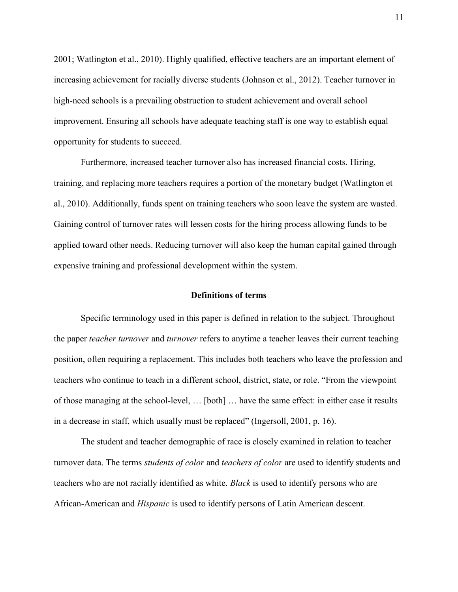2001; Watlington et al., 2010). Highly qualified, effective teachers are an important element of increasing achievement for racially diverse students (Johnson et al., 2012). Teacher turnover in high-need schools is a prevailing obstruction to student achievement and overall school improvement. Ensuring all schools have adequate teaching staff is one way to establish equal opportunity for students to succeed.

Furthermore, increased teacher turnover also has increased financial costs. Hiring, training, and replacing more teachers requires a portion of the monetary budget (Watlington et al., 2010). Additionally, funds spent on training teachers who soon leave the system are wasted. Gaining control of turnover rates will lessen costs for the hiring process allowing funds to be applied toward other needs. Reducing turnover will also keep the human capital gained through expensive training and professional development within the system.

#### **Definitions of terms**

Specific terminology used in this paper is defined in relation to the subject. Throughout the paper *teacher turnover* and *turnover* refers to anytime a teacher leaves their current teaching position, often requiring a replacement. This includes both teachers who leave the profession and teachers who continue to teach in a different school, district, state, or role. "From the viewpoint of those managing at the school-level, … [both] … have the same effect: in either case it results in a decrease in staff, which usually must be replaced" (Ingersoll, 2001, p. 16).

The student and teacher demographic of race is closely examined in relation to teacher turnover data. The terms *students of color* and *teachers of color* are used to identify students and teachers who are not racially identified as white. *Black* is used to identify persons who are African-American and *Hispanic* is used to identify persons of Latin American descent.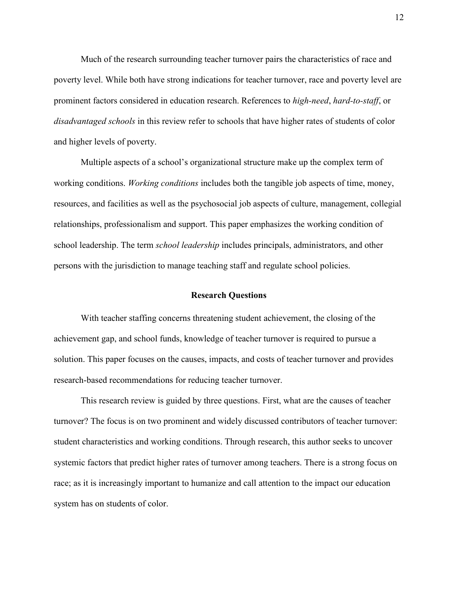Much of the research surrounding teacher turnover pairs the characteristics of race and poverty level. While both have strong indications for teacher turnover, race and poverty level are prominent factors considered in education research. References to *high-need*, *hard-to-staff*, or *disadvantaged schools* in this review refer to schools that have higher rates of students of color and higher levels of poverty.

Multiple aspects of a school's organizational structure make up the complex term of working conditions. *Working conditions* includes both the tangible job aspects of time, money, resources, and facilities as well as the psychosocial job aspects of culture, management, collegial relationships, professionalism and support. This paper emphasizes the working condition of school leadership. The term *school leadership* includes principals, administrators, and other persons with the jurisdiction to manage teaching staff and regulate school policies.

#### **Research Questions**

With teacher staffing concerns threatening student achievement, the closing of the achievement gap, and school funds, knowledge of teacher turnover is required to pursue a solution. This paper focuses on the causes, impacts, and costs of teacher turnover and provides research-based recommendations for reducing teacher turnover.

This research review is guided by three questions. First, what are the causes of teacher turnover? The focus is on two prominent and widely discussed contributors of teacher turnover: student characteristics and working conditions. Through research, this author seeks to uncover systemic factors that predict higher rates of turnover among teachers. There is a strong focus on race; as it is increasingly important to humanize and call attention to the impact our education system has on students of color.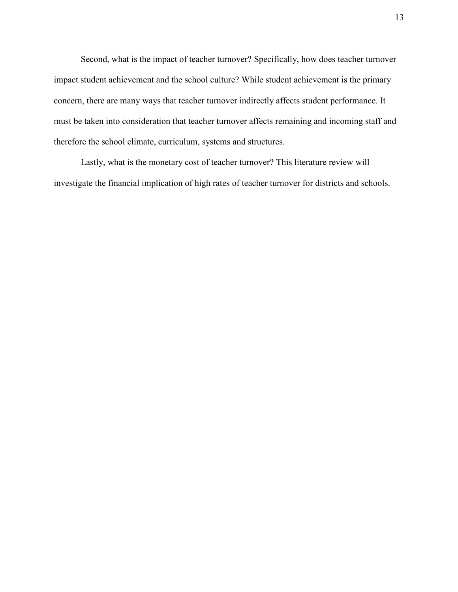Second, what is the impact of teacher turnover? Specifically, how does teacher turnover impact student achievement and the school culture? While student achievement is the primary concern, there are many ways that teacher turnover indirectly affects student performance. It must be taken into consideration that teacher turnover affects remaining and incoming staff and therefore the school climate, curriculum, systems and structures.

Lastly, what is the monetary cost of teacher turnover? This literature review will investigate the financial implication of high rates of teacher turnover for districts and schools.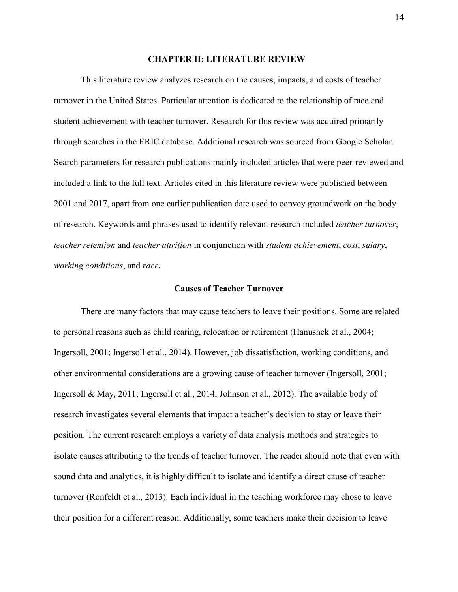#### **CHAPTER II: LITERATURE REVIEW**

This literature review analyzes research on the causes, impacts, and costs of teacher turnover in the United States. Particular attention is dedicated to the relationship of race and student achievement with teacher turnover. Research for this review was acquired primarily through searches in the ERIC database. Additional research was sourced from Google Scholar. Search parameters for research publications mainly included articles that were peer-reviewed and included a link to the full text. Articles cited in this literature review were published between 2001 and 2017, apart from one earlier publication date used to convey groundwork on the body of research. Keywords and phrases used to identify relevant research included *teacher turnover*, *teacher retention* and *teacher attrition* in conjunction with *student achievement*, *cost*, *salary*, *working conditions*, and *race***.**

#### **Causes of Teacher Turnover**

There are many factors that may cause teachers to leave their positions. Some are related to personal reasons such as child rearing, relocation or retirement (Hanushek et al., 2004; Ingersoll, 2001; Ingersoll et al., 2014). However, job dissatisfaction, working conditions, and other environmental considerations are a growing cause of teacher turnover (Ingersoll, 2001; Ingersoll & May, 2011; Ingersoll et al., 2014; Johnson et al., 2012). The available body of research investigates several elements that impact a teacher's decision to stay or leave their position. The current research employs a variety of data analysis methods and strategies to isolate causes attributing to the trends of teacher turnover. The reader should note that even with sound data and analytics, it is highly difficult to isolate and identify a direct cause of teacher turnover (Ronfeldt et al., 2013). Each individual in the teaching workforce may chose to leave their position for a different reason. Additionally, some teachers make their decision to leave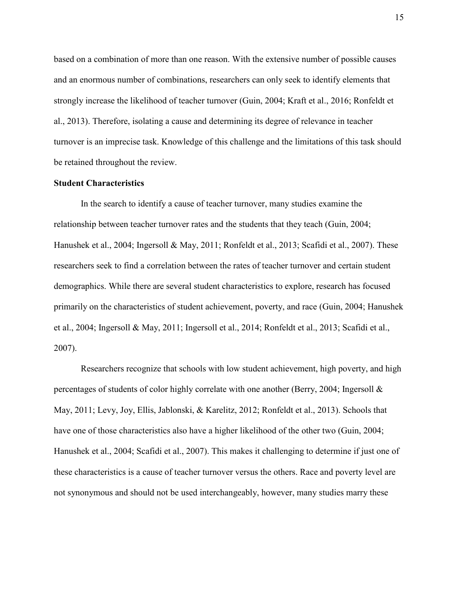based on a combination of more than one reason. With the extensive number of possible causes and an enormous number of combinations, researchers can only seek to identify elements that strongly increase the likelihood of teacher turnover (Guin, 2004; Kraft et al., 2016; Ronfeldt et al., 2013). Therefore, isolating a cause and determining its degree of relevance in teacher turnover is an imprecise task. Knowledge of this challenge and the limitations of this task should be retained throughout the review.

#### **Student Characteristics**

In the search to identify a cause of teacher turnover, many studies examine the relationship between teacher turnover rates and the students that they teach (Guin, 2004; Hanushek et al., 2004; Ingersoll & May, 2011; Ronfeldt et al., 2013; Scafidi et al., 2007). These researchers seek to find a correlation between the rates of teacher turnover and certain student demographics. While there are several student characteristics to explore, research has focused primarily on the characteristics of student achievement, poverty, and race (Guin, 2004; Hanushek et al., 2004; Ingersoll & May, 2011; Ingersoll et al., 2014; Ronfeldt et al., 2013; Scafidi et al., 2007).

Researchers recognize that schools with low student achievement, high poverty, and high percentages of students of color highly correlate with one another (Berry, 2004; Ingersoll & May, 2011; Levy, Joy, Ellis, Jablonski, & Karelitz, 2012; Ronfeldt et al., 2013). Schools that have one of those characteristics also have a higher likelihood of the other two (Guin, 2004; Hanushek et al., 2004; Scafidi et al., 2007). This makes it challenging to determine if just one of these characteristics is a cause of teacher turnover versus the others. Race and poverty level are not synonymous and should not be used interchangeably, however, many studies marry these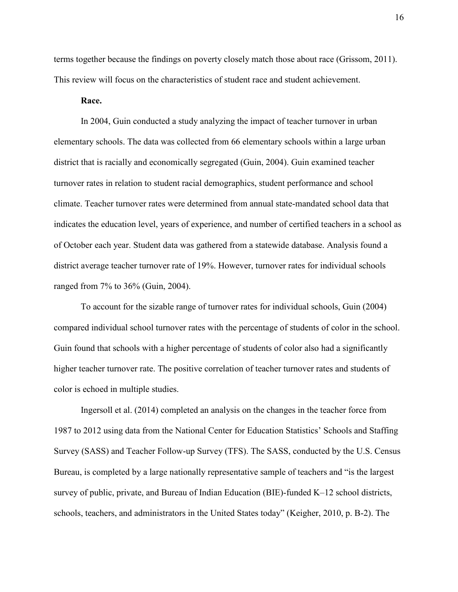terms together because the findings on poverty closely match those about race (Grissom, 2011). This review will focus on the characteristics of student race and student achievement.

#### **Race.**

In 2004, Guin conducted a study analyzing the impact of teacher turnover in urban elementary schools. The data was collected from 66 elementary schools within a large urban district that is racially and economically segregated (Guin, 2004). Guin examined teacher turnover rates in relation to student racial demographics, student performance and school climate. Teacher turnover rates were determined from annual state-mandated school data that indicates the education level, years of experience, and number of certified teachers in a school as of October each year. Student data was gathered from a statewide database. Analysis found a district average teacher turnover rate of 19%. However, turnover rates for individual schools ranged from 7% to 36% (Guin, 2004).

To account for the sizable range of turnover rates for individual schools, Guin (2004) compared individual school turnover rates with the percentage of students of color in the school. Guin found that schools with a higher percentage of students of color also had a significantly higher teacher turnover rate. The positive correlation of teacher turnover rates and students of color is echoed in multiple studies.

Ingersoll et al. (2014) completed an analysis on the changes in the teacher force from 1987 to 2012 using data from the National Center for Education Statistics' Schools and Staffing Survey (SASS) and Teacher Follow-up Survey (TFS). The SASS, conducted by the U.S. Census Bureau, is completed by a large nationally representative sample of teachers and "is the largest survey of public, private, and Bureau of Indian Education (BIE)-funded K–12 school districts, schools, teachers, and administrators in the United States today" (Keigher, 2010, p. B-2). The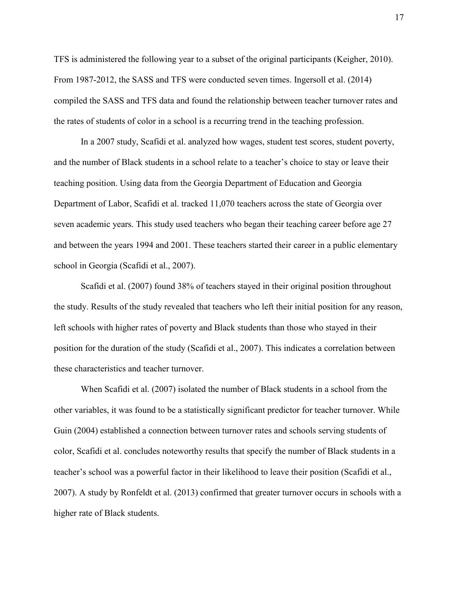TFS is administered the following year to a subset of the original participants (Keigher, 2010). From 1987-2012, the SASS and TFS were conducted seven times. Ingersoll et al. (2014) compiled the SASS and TFS data and found the relationship between teacher turnover rates and the rates of students of color in a school is a recurring trend in the teaching profession.

In a 2007 study, Scafidi et al. analyzed how wages, student test scores, student poverty, and the number of Black students in a school relate to a teacher's choice to stay or leave their teaching position. Using data from the Georgia Department of Education and Georgia Department of Labor, Scafidi et al. tracked 11,070 teachers across the state of Georgia over seven academic years. This study used teachers who began their teaching career before age 27 and between the years 1994 and 2001. These teachers started their career in a public elementary school in Georgia (Scafidi et al., 2007).

Scafidi et al. (2007) found 38% of teachers stayed in their original position throughout the study. Results of the study revealed that teachers who left their initial position for any reason, left schools with higher rates of poverty and Black students than those who stayed in their position for the duration of the study (Scafidi et al., 2007). This indicates a correlation between these characteristics and teacher turnover.

When Scafidi et al. (2007) isolated the number of Black students in a school from the other variables, it was found to be a statistically significant predictor for teacher turnover. While Guin (2004) established a connection between turnover rates and schools serving students of color, Scafidi et al. concludes noteworthy results that specify the number of Black students in a teacher's school was a powerful factor in their likelihood to leave their position (Scafidi et al., 2007). A study by Ronfeldt et al. (2013) confirmed that greater turnover occurs in schools with a higher rate of Black students.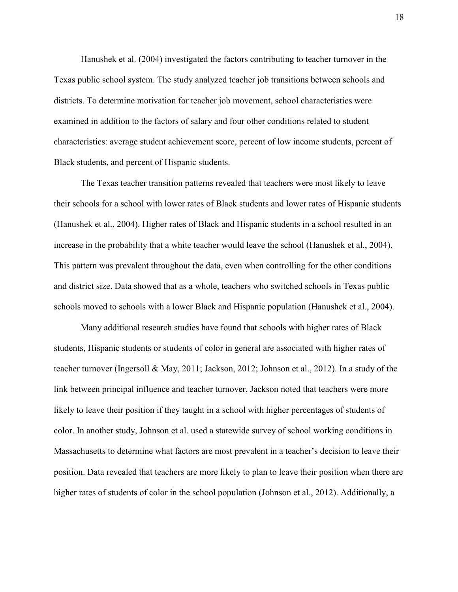Hanushek et al. (2004) investigated the factors contributing to teacher turnover in the Texas public school system. The study analyzed teacher job transitions between schools and districts. To determine motivation for teacher job movement, school characteristics were examined in addition to the factors of salary and four other conditions related to student characteristics: average student achievement score, percent of low income students, percent of Black students, and percent of Hispanic students.

The Texas teacher transition patterns revealed that teachers were most likely to leave their schools for a school with lower rates of Black students and lower rates of Hispanic students (Hanushek et al., 2004). Higher rates of Black and Hispanic students in a school resulted in an increase in the probability that a white teacher would leave the school (Hanushek et al., 2004). This pattern was prevalent throughout the data, even when controlling for the other conditions and district size. Data showed that as a whole, teachers who switched schools in Texas public schools moved to schools with a lower Black and Hispanic population (Hanushek et al., 2004).

Many additional research studies have found that schools with higher rates of Black students, Hispanic students or students of color in general are associated with higher rates of teacher turnover (Ingersoll & May, 2011; Jackson, 2012; Johnson et al., 2012). In a study of the link between principal influence and teacher turnover, Jackson noted that teachers were more likely to leave their position if they taught in a school with higher percentages of students of color. In another study, Johnson et al. used a statewide survey of school working conditions in Massachusetts to determine what factors are most prevalent in a teacher's decision to leave their position. Data revealed that teachers are more likely to plan to leave their position when there are higher rates of students of color in the school population (Johnson et al., 2012). Additionally, a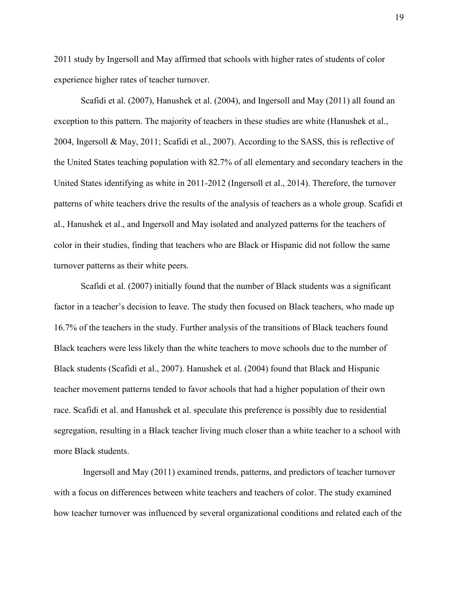2011 study by Ingersoll and May affirmed that schools with higher rates of students of color experience higher rates of teacher turnover.

Scafidi et al. (2007), Hanushek et al. (2004), and Ingersoll and May (2011) all found an exception to this pattern. The majority of teachers in these studies are white (Hanushek et al., 2004, Ingersoll & May, 2011; Scafidi et al., 2007). According to the SASS, this is reflective of the United States teaching population with 82.7% of all elementary and secondary teachers in the United States identifying as white in 2011-2012 (Ingersoll et al., 2014). Therefore, the turnover patterns of white teachers drive the results of the analysis of teachers as a whole group. Scafidi et al., Hanushek et al., and Ingersoll and May isolated and analyzed patterns for the teachers of color in their studies, finding that teachers who are Black or Hispanic did not follow the same turnover patterns as their white peers.

Scafidi et al. (2007) initially found that the number of Black students was a significant factor in a teacher's decision to leave. The study then focused on Black teachers, who made up 16.7% of the teachers in the study. Further analysis of the transitions of Black teachers found Black teachers were less likely than the white teachers to move schools due to the number of Black students (Scafidi et al., 2007). Hanushek et al. (2004) found that Black and Hispanic teacher movement patterns tended to favor schools that had a higher population of their own race. Scafidi et al. and Hanushek et al. speculate this preference is possibly due to residential segregation, resulting in a Black teacher living much closer than a white teacher to a school with more Black students.

Ingersoll and May (2011) examined trends, patterns, and predictors of teacher turnover with a focus on differences between white teachers and teachers of color. The study examined how teacher turnover was influenced by several organizational conditions and related each of the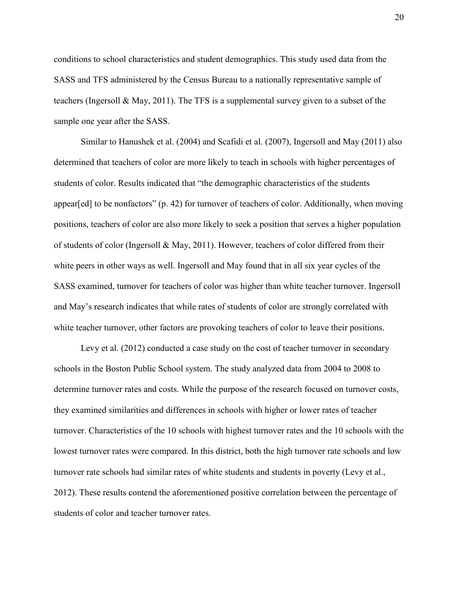conditions to school characteristics and student demographics. This study used data from the SASS and TFS administered by the Census Bureau to a nationally representative sample of teachers (Ingersoll & May, 2011). The TFS is a supplemental survey given to a subset of the sample one year after the SASS.

Similar to Hanushek et al. (2004) and Scafidi et al. (2007), Ingersoll and May (2011) also determined that teachers of color are more likely to teach in schools with higher percentages of students of color. Results indicated that "the demographic characteristics of the students appear[ed] to be nonfactors" (p. 42) for turnover of teachers of color. Additionally, when moving positions, teachers of color are also more likely to seek a position that serves a higher population of students of color (Ingersoll & May, 2011). However, teachers of color differed from their white peers in other ways as well. Ingersoll and May found that in all six year cycles of the SASS examined, turnover for teachers of color was higher than white teacher turnover. Ingersoll and May's research indicates that while rates of students of color are strongly correlated with white teacher turnover, other factors are provoking teachers of color to leave their positions.

Levy et al. (2012) conducted a case study on the cost of teacher turnover in secondary schools in the Boston Public School system. The study analyzed data from 2004 to 2008 to determine turnover rates and costs. While the purpose of the research focused on turnover costs, they examined similarities and differences in schools with higher or lower rates of teacher turnover. Characteristics of the 10 schools with highest turnover rates and the 10 schools with the lowest turnover rates were compared. In this district, both the high turnover rate schools and low turnover rate schools had similar rates of white students and students in poverty (Levy et al., 2012). These results contend the aforementioned positive correlation between the percentage of students of color and teacher turnover rates.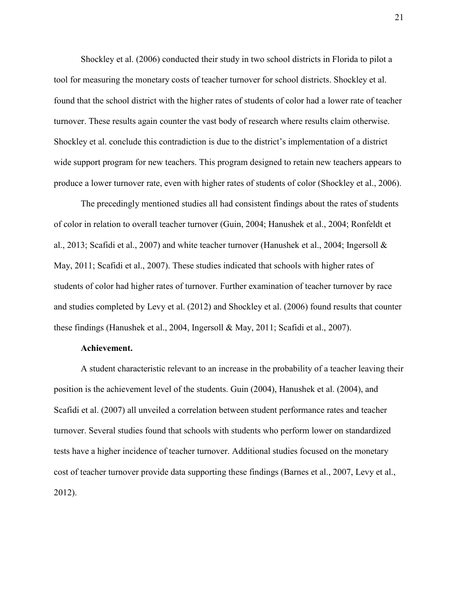Shockley et al. (2006) conducted their study in two school districts in Florida to pilot a tool for measuring the monetary costs of teacher turnover for school districts. Shockley et al. found that the school district with the higher rates of students of color had a lower rate of teacher turnover. These results again counter the vast body of research where results claim otherwise. Shockley et al. conclude this contradiction is due to the district's implementation of a district wide support program for new teachers. This program designed to retain new teachers appears to produce a lower turnover rate, even with higher rates of students of color (Shockley et al., 2006).

The precedingly mentioned studies all had consistent findings about the rates of students of color in relation to overall teacher turnover (Guin, 2004; Hanushek et al., 2004; Ronfeldt et al., 2013; Scafidi et al., 2007) and white teacher turnover (Hanushek et al., 2004; Ingersoll & May, 2011; Scafidi et al., 2007). These studies indicated that schools with higher rates of students of color had higher rates of turnover. Further examination of teacher turnover by race and studies completed by Levy et al. (2012) and Shockley et al. (2006) found results that counter these findings (Hanushek et al., 2004, Ingersoll & May, 2011; Scafidi et al., 2007).

#### **Achievement.**

A student characteristic relevant to an increase in the probability of a teacher leaving their position is the achievement level of the students. Guin (2004), Hanushek et al. (2004), and Scafidi et al. (2007) all unveiled a correlation between student performance rates and teacher turnover. Several studies found that schools with students who perform lower on standardized tests have a higher incidence of teacher turnover. Additional studies focused on the monetary cost of teacher turnover provide data supporting these findings (Barnes et al., 2007, Levy et al., 2012).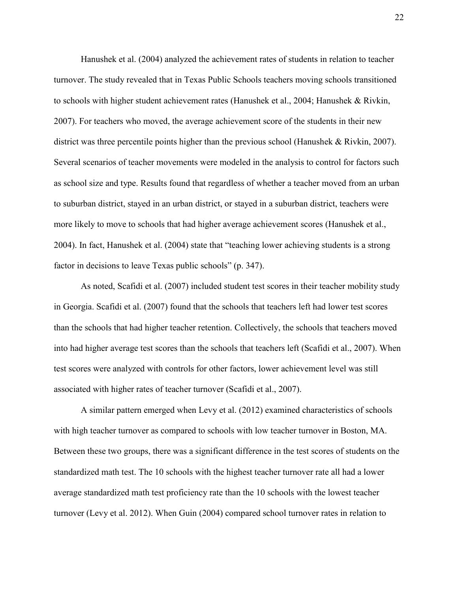Hanushek et al. (2004) analyzed the achievement rates of students in relation to teacher turnover. The study revealed that in Texas Public Schools teachers moving schools transitioned to schools with higher student achievement rates (Hanushek et al., 2004; Hanushek & Rivkin, 2007). For teachers who moved, the average achievement score of the students in their new district was three percentile points higher than the previous school (Hanushek & Rivkin, 2007). Several scenarios of teacher movements were modeled in the analysis to control for factors such as school size and type. Results found that regardless of whether a teacher moved from an urban to suburban district, stayed in an urban district, or stayed in a suburban district, teachers were more likely to move to schools that had higher average achievement scores (Hanushek et al., 2004). In fact, Hanushek et al. (2004) state that "teaching lower achieving students is a strong factor in decisions to leave Texas public schools" (p. 347).

As noted, Scafidi et al. (2007) included student test scores in their teacher mobility study in Georgia. Scafidi et al. (2007) found that the schools that teachers left had lower test scores than the schools that had higher teacher retention. Collectively, the schools that teachers moved into had higher average test scores than the schools that teachers left (Scafidi et al., 2007). When test scores were analyzed with controls for other factors, lower achievement level was still associated with higher rates of teacher turnover (Scafidi et al., 2007).

A similar pattern emerged when Levy et al. (2012) examined characteristics of schools with high teacher turnover as compared to schools with low teacher turnover in Boston, MA. Between these two groups, there was a significant difference in the test scores of students on the standardized math test. The 10 schools with the highest teacher turnover rate all had a lower average standardized math test proficiency rate than the 10 schools with the lowest teacher turnover (Levy et al. 2012). When Guin (2004) compared school turnover rates in relation to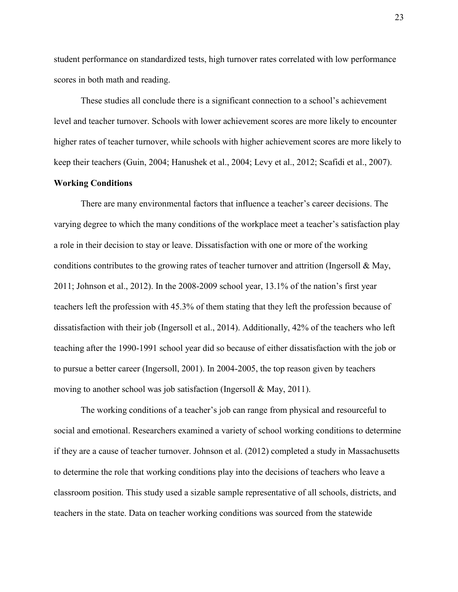student performance on standardized tests, high turnover rates correlated with low performance scores in both math and reading.

These studies all conclude there is a significant connection to a school's achievement level and teacher turnover. Schools with lower achievement scores are more likely to encounter higher rates of teacher turnover, while schools with higher achievement scores are more likely to keep their teachers (Guin, 2004; Hanushek et al., 2004; Levy et al., 2012; Scafidi et al., 2007).

#### **Working Conditions**

There are many environmental factors that influence a teacher's career decisions. The varying degree to which the many conditions of the workplace meet a teacher's satisfaction play a role in their decision to stay or leave. Dissatisfaction with one or more of the working conditions contributes to the growing rates of teacher turnover and attrition (Ingersoll & May, 2011; Johnson et al., 2012). In the 2008-2009 school year, 13.1% of the nation's first year teachers left the profession with 45.3% of them stating that they left the profession because of dissatisfaction with their job (Ingersoll et al., 2014). Additionally, 42% of the teachers who left teaching after the 1990-1991 school year did so because of either dissatisfaction with the job or to pursue a better career (Ingersoll, 2001). In 2004-2005, the top reason given by teachers moving to another school was job satisfaction (Ingersoll & May, 2011).

The working conditions of a teacher's job can range from physical and resourceful to social and emotional. Researchers examined a variety of school working conditions to determine if they are a cause of teacher turnover. Johnson et al. (2012) completed a study in Massachusetts to determine the role that working conditions play into the decisions of teachers who leave a classroom position. This study used a sizable sample representative of all schools, districts, and teachers in the state. Data on teacher working conditions was sourced from the statewide

23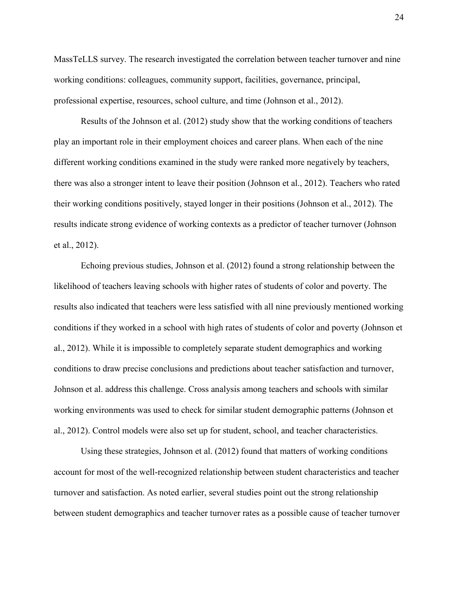MassTeLLS survey. The research investigated the correlation between teacher turnover and nine working conditions: colleagues, community support, facilities, governance, principal, professional expertise, resources, school culture, and time (Johnson et al., 2012).

Results of the Johnson et al. (2012) study show that the working conditions of teachers play an important role in their employment choices and career plans. When each of the nine different working conditions examined in the study were ranked more negatively by teachers, there was also a stronger intent to leave their position (Johnson et al., 2012). Teachers who rated their working conditions positively, stayed longer in their positions (Johnson et al., 2012). The results indicate strong evidence of working contexts as a predictor of teacher turnover (Johnson et al., 2012).

Echoing previous studies, Johnson et al. (2012) found a strong relationship between the likelihood of teachers leaving schools with higher rates of students of color and poverty. The results also indicated that teachers were less satisfied with all nine previously mentioned working conditions if they worked in a school with high rates of students of color and poverty (Johnson et al., 2012). While it is impossible to completely separate student demographics and working conditions to draw precise conclusions and predictions about teacher satisfaction and turnover, Johnson et al. address this challenge. Cross analysis among teachers and schools with similar working environments was used to check for similar student demographic patterns (Johnson et al., 2012). Control models were also set up for student, school, and teacher characteristics.

Using these strategies, Johnson et al. (2012) found that matters of working conditions account for most of the well-recognized relationship between student characteristics and teacher turnover and satisfaction. As noted earlier, several studies point out the strong relationship between student demographics and teacher turnover rates as a possible cause of teacher turnover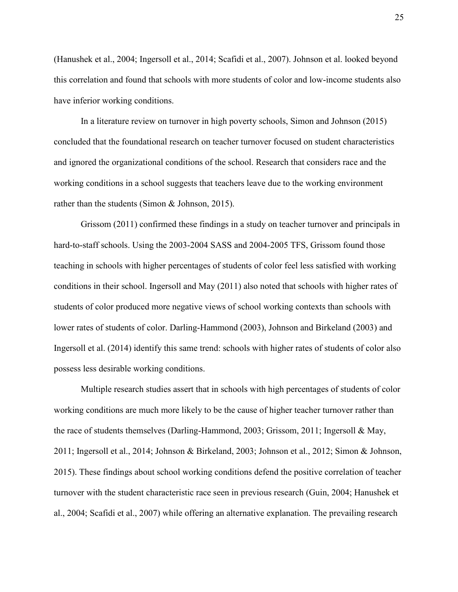(Hanushek et al., 2004; Ingersoll et al., 2014; Scafidi et al., 2007). Johnson et al. looked beyond this correlation and found that schools with more students of color and low-income students also have inferior working conditions.

In a literature review on turnover in high poverty schools, Simon and Johnson (2015) concluded that the foundational research on teacher turnover focused on student characteristics and ignored the organizational conditions of the school. Research that considers race and the working conditions in a school suggests that teachers leave due to the working environment rather than the students (Simon & Johnson, 2015).

Grissom (2011) confirmed these findings in a study on teacher turnover and principals in hard-to-staff schools. Using the 2003-2004 SASS and 2004-2005 TFS, Grissom found those teaching in schools with higher percentages of students of color feel less satisfied with working conditions in their school. Ingersoll and May (2011) also noted that schools with higher rates of students of color produced more negative views of school working contexts than schools with lower rates of students of color. Darling-Hammond (2003), Johnson and Birkeland (2003) and Ingersoll et al. (2014) identify this same trend: schools with higher rates of students of color also possess less desirable working conditions.

Multiple research studies assert that in schools with high percentages of students of color working conditions are much more likely to be the cause of higher teacher turnover rather than the race of students themselves (Darling-Hammond, 2003; Grissom, 2011; Ingersoll & May, 2011; Ingersoll et al., 2014; Johnson & Birkeland, 2003; Johnson et al., 2012; Simon & Johnson, 2015). These findings about school working conditions defend the positive correlation of teacher turnover with the student characteristic race seen in previous research (Guin, 2004; Hanushek et al., 2004; Scafidi et al., 2007) while offering an alternative explanation. The prevailing research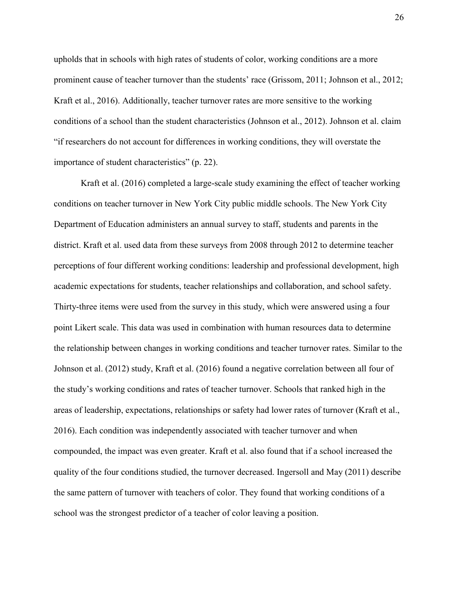upholds that in schools with high rates of students of color, working conditions are a more prominent cause of teacher turnover than the students' race (Grissom, 2011; Johnson et al., 2012; Kraft et al., 2016). Additionally, teacher turnover rates are more sensitive to the working conditions of a school than the student characteristics (Johnson et al., 2012). Johnson et al. claim "if researchers do not account for differences in working conditions, they will overstate the importance of student characteristics" (p. 22).

Kraft et al. (2016) completed a large-scale study examining the effect of teacher working conditions on teacher turnover in New York City public middle schools. The New York City Department of Education administers an annual survey to staff, students and parents in the district. Kraft et al. used data from these surveys from 2008 through 2012 to determine teacher perceptions of four different working conditions: leadership and professional development, high academic expectations for students, teacher relationships and collaboration, and school safety. Thirty-three items were used from the survey in this study, which were answered using a four point Likert scale. This data was used in combination with human resources data to determine the relationship between changes in working conditions and teacher turnover rates. Similar to the Johnson et al. (2012) study, Kraft et al. (2016) found a negative correlation between all four of the study's working conditions and rates of teacher turnover. Schools that ranked high in the areas of leadership, expectations, relationships or safety had lower rates of turnover (Kraft et al., 2016). Each condition was independently associated with teacher turnover and when compounded, the impact was even greater. Kraft et al. also found that if a school increased the quality of the four conditions studied, the turnover decreased. Ingersoll and May (2011) describe the same pattern of turnover with teachers of color. They found that working conditions of a school was the strongest predictor of a teacher of color leaving a position.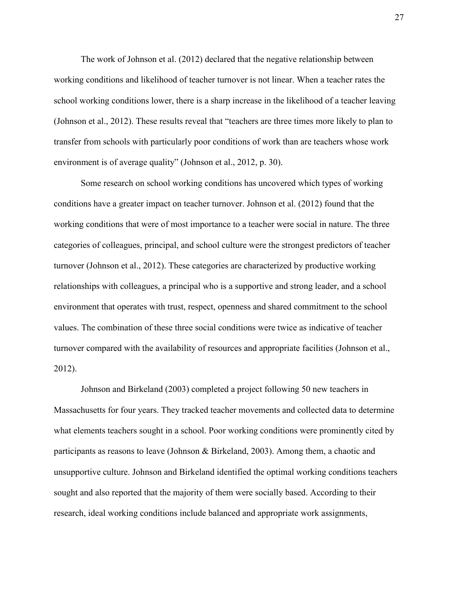The work of Johnson et al. (2012) declared that the negative relationship between working conditions and likelihood of teacher turnover is not linear. When a teacher rates the school working conditions lower, there is a sharp increase in the likelihood of a teacher leaving (Johnson et al., 2012). These results reveal that "teachers are three times more likely to plan to transfer from schools with particularly poor conditions of work than are teachers whose work environment is of average quality" (Johnson et al., 2012, p. 30).

Some research on school working conditions has uncovered which types of working conditions have a greater impact on teacher turnover. Johnson et al. (2012) found that the working conditions that were of most importance to a teacher were social in nature. The three categories of colleagues, principal, and school culture were the strongest predictors of teacher turnover (Johnson et al., 2012). These categories are characterized by productive working relationships with colleagues, a principal who is a supportive and strong leader, and a school environment that operates with trust, respect, openness and shared commitment to the school values. The combination of these three social conditions were twice as indicative of teacher turnover compared with the availability of resources and appropriate facilities (Johnson et al., 2012).

Johnson and Birkeland (2003) completed a project following 50 new teachers in Massachusetts for four years. They tracked teacher movements and collected data to determine what elements teachers sought in a school. Poor working conditions were prominently cited by participants as reasons to leave (Johnson & Birkeland, 2003). Among them, a chaotic and unsupportive culture. Johnson and Birkeland identified the optimal working conditions teachers sought and also reported that the majority of them were socially based. According to their research, ideal working conditions include balanced and appropriate work assignments,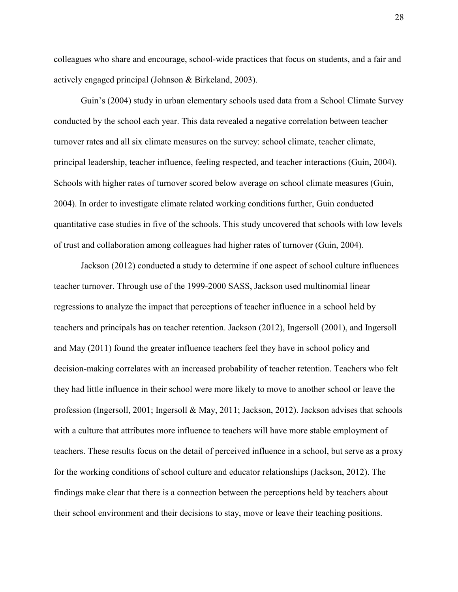colleagues who share and encourage, school-wide practices that focus on students, and a fair and actively engaged principal (Johnson & Birkeland, 2003).

Guin's (2004) study in urban elementary schools used data from a School Climate Survey conducted by the school each year. This data revealed a negative correlation between teacher turnover rates and all six climate measures on the survey: school climate, teacher climate, principal leadership, teacher influence, feeling respected, and teacher interactions (Guin, 2004). Schools with higher rates of turnover scored below average on school climate measures (Guin, 2004). In order to investigate climate related working conditions further, Guin conducted quantitative case studies in five of the schools. This study uncovered that schools with low levels of trust and collaboration among colleagues had higher rates of turnover (Guin, 2004).

Jackson (2012) conducted a study to determine if one aspect of school culture influences teacher turnover. Through use of the 1999-2000 SASS, Jackson used multinomial linear regressions to analyze the impact that perceptions of teacher influence in a school held by teachers and principals has on teacher retention. Jackson (2012), Ingersoll (2001), and Ingersoll and May (2011) found the greater influence teachers feel they have in school policy and decision-making correlates with an increased probability of teacher retention. Teachers who felt they had little influence in their school were more likely to move to another school or leave the profession (Ingersoll, 2001; Ingersoll & May, 2011; Jackson, 2012). Jackson advises that schools with a culture that attributes more influence to teachers will have more stable employment of teachers. These results focus on the detail of perceived influence in a school, but serve as a proxy for the working conditions of school culture and educator relationships (Jackson, 2012). The findings make clear that there is a connection between the perceptions held by teachers about their school environment and their decisions to stay, move or leave their teaching positions.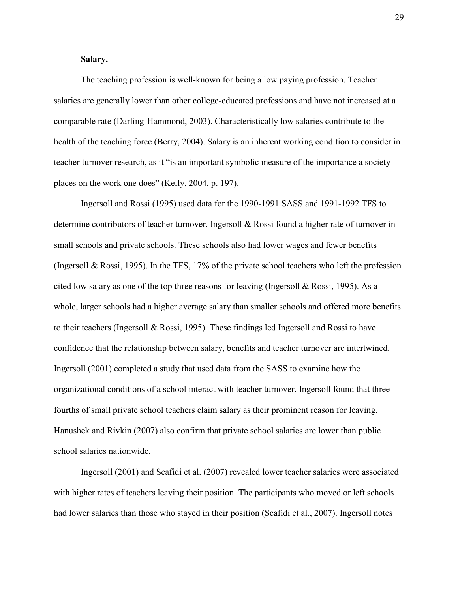#### **Salary.**

The teaching profession is well-known for being a low paying profession. Teacher salaries are generally lower than other college-educated professions and have not increased at a comparable rate (Darling-Hammond, 2003). Characteristically low salaries contribute to the health of the teaching force (Berry, 2004). Salary is an inherent working condition to consider in teacher turnover research, as it "is an important symbolic measure of the importance a society places on the work one does" (Kelly, 2004, p. 197).

Ingersoll and Rossi (1995) used data for the 1990-1991 SASS and 1991-1992 TFS to determine contributors of teacher turnover. Ingersoll & Rossi found a higher rate of turnover in small schools and private schools. These schools also had lower wages and fewer benefits (Ingersoll & Rossi, 1995). In the TFS, 17% of the private school teachers who left the profession cited low salary as one of the top three reasons for leaving (Ingersoll & Rossi, 1995). As a whole, larger schools had a higher average salary than smaller schools and offered more benefits to their teachers (Ingersoll & Rossi, 1995). These findings led Ingersoll and Rossi to have confidence that the relationship between salary, benefits and teacher turnover are intertwined. Ingersoll (2001) completed a study that used data from the SASS to examine how the organizational conditions of a school interact with teacher turnover. Ingersoll found that threefourths of small private school teachers claim salary as their prominent reason for leaving. Hanushek and Rivkin (2007) also confirm that private school salaries are lower than public school salaries nationwide.

Ingersoll (2001) and Scafidi et al. (2007) revealed lower teacher salaries were associated with higher rates of teachers leaving their position. The participants who moved or left schools had lower salaries than those who stayed in their position (Scafidi et al., 2007). Ingersoll notes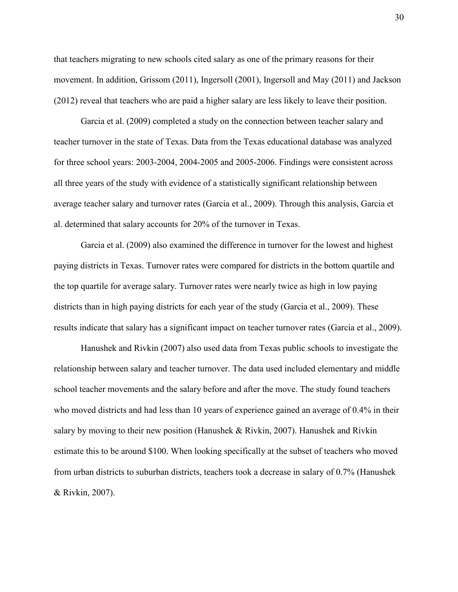that teachers migrating to new schools cited salary as one of the primary reasons for their movement. In addition, Grissom (2011), Ingersoll (2001), Ingersoll and May (2011) and Jackson (2012) reveal that teachers who are paid a higher salary are less likely to leave their position.

Garcia et al. (2009) completed a study on the connection between teacher salary and teacher turnover in the state of Texas. Data from the Texas educational database was analyzed for three school years: 2003-2004, 2004-2005 and 2005-2006. Findings were consistent across all three years of the study with evidence of a statistically significant relationship between average teacher salary and turnover rates (Garcia et al., 2009). Through this analysis, Garcia et al. determined that salary accounts for 20% of the turnover in Texas.

Garcia et al. (2009) also examined the difference in turnover for the lowest and highest paying districts in Texas. Turnover rates were compared for districts in the bottom quartile and the top quartile for average salary. Turnover rates were nearly twice as high in low paying districts than in high paying districts for each year of the study (Garcia et al., 2009). These results indicate that salary has a significant impact on teacher turnover rates (Garcia et al., 2009).

Hanushek and Rivkin (2007) also used data from Texas public schools to investigate the relationship between salary and teacher turnover. The data used included elementary and middle school teacher movements and the salary before and after the move. The study found teachers who moved districts and had less than 10 years of experience gained an average of 0.4% in their salary by moving to their new position (Hanushek & Rivkin, 2007). Hanushek and Rivkin estimate this to be around \$100. When looking specifically at the subset of teachers who moved from urban districts to suburban districts, teachers took a decrease in salary of 0.7% (Hanushek & Rivkin, 2007).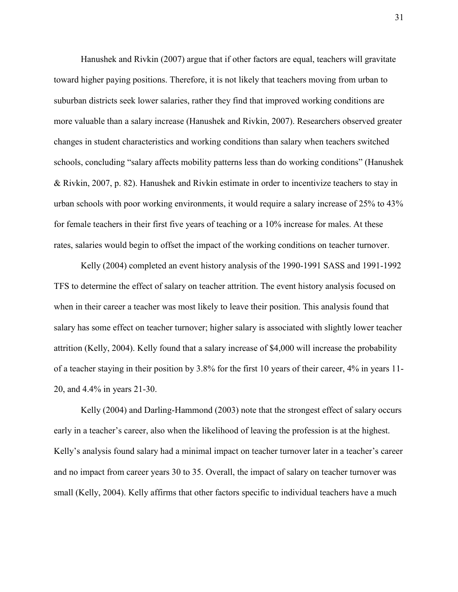Hanushek and Rivkin (2007) argue that if other factors are equal, teachers will gravitate toward higher paying positions. Therefore, it is not likely that teachers moving from urban to suburban districts seek lower salaries, rather they find that improved working conditions are more valuable than a salary increase (Hanushek and Rivkin, 2007). Researchers observed greater changes in student characteristics and working conditions than salary when teachers switched schools, concluding "salary affects mobility patterns less than do working conditions" (Hanushek & Rivkin, 2007, p. 82). Hanushek and Rivkin estimate in order to incentivize teachers to stay in urban schools with poor working environments, it would require a salary increase of 25% to 43% for female teachers in their first five years of teaching or a 10% increase for males. At these rates, salaries would begin to offset the impact of the working conditions on teacher turnover.

Kelly (2004) completed an event history analysis of the 1990-1991 SASS and 1991-1992 TFS to determine the effect of salary on teacher attrition. The event history analysis focused on when in their career a teacher was most likely to leave their position. This analysis found that salary has some effect on teacher turnover; higher salary is associated with slightly lower teacher attrition (Kelly, 2004). Kelly found that a salary increase of \$4,000 will increase the probability of a teacher staying in their position by 3.8% for the first 10 years of their career, 4% in years 11- 20, and 4.4% in years 21-30.

Kelly (2004) and Darling-Hammond (2003) note that the strongest effect of salary occurs early in a teacher's career, also when the likelihood of leaving the profession is at the highest. Kelly's analysis found salary had a minimal impact on teacher turnover later in a teacher's career and no impact from career years 30 to 35. Overall, the impact of salary on teacher turnover was small (Kelly, 2004). Kelly affirms that other factors specific to individual teachers have a much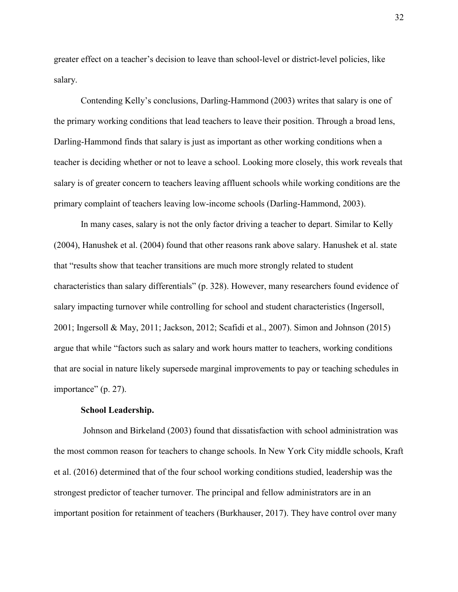greater effect on a teacher's decision to leave than school-level or district-level policies, like salary.

Contending Kelly's conclusions, Darling-Hammond (2003) writes that salary is one of the primary working conditions that lead teachers to leave their position. Through a broad lens, Darling-Hammond finds that salary is just as important as other working conditions when a teacher is deciding whether or not to leave a school. Looking more closely, this work reveals that salary is of greater concern to teachers leaving affluent schools while working conditions are the primary complaint of teachers leaving low-income schools (Darling-Hammond, 2003).

In many cases, salary is not the only factor driving a teacher to depart. Similar to Kelly (2004), Hanushek et al. (2004) found that other reasons rank above salary. Hanushek et al. state that "results show that teacher transitions are much more strongly related to student characteristics than salary differentials" (p. 328). However, many researchers found evidence of salary impacting turnover while controlling for school and student characteristics (Ingersoll, 2001; Ingersoll & May, 2011; Jackson, 2012; Scafidi et al., 2007). Simon and Johnson (2015) argue that while "factors such as salary and work hours matter to teachers, working conditions that are social in nature likely supersede marginal improvements to pay or teaching schedules in importance" (p. 27).

#### **School Leadership.**

Johnson and Birkeland (2003) found that dissatisfaction with school administration was the most common reason for teachers to change schools. In New York City middle schools, Kraft et al. (2016) determined that of the four school working conditions studied, leadership was the strongest predictor of teacher turnover. The principal and fellow administrators are in an important position for retainment of teachers (Burkhauser, 2017). They have control over many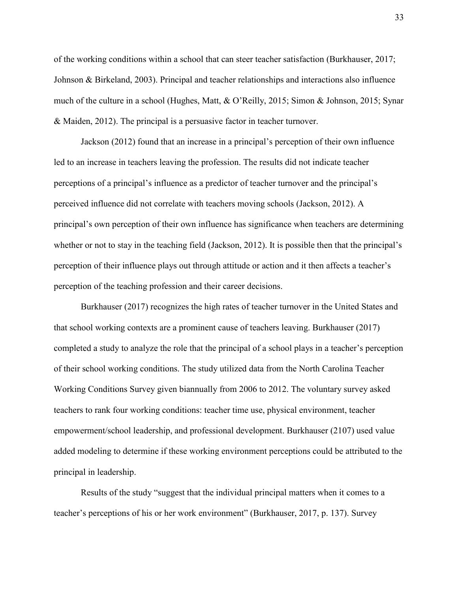of the working conditions within a school that can steer teacher satisfaction (Burkhauser, 2017; Johnson & Birkeland, 2003). Principal and teacher relationships and interactions also influence much of the culture in a school (Hughes, Matt, & O'Reilly, 2015; Simon & Johnson, 2015; Synar & Maiden, 2012). The principal is a persuasive factor in teacher turnover.

Jackson (2012) found that an increase in a principal's perception of their own influence led to an increase in teachers leaving the profession. The results did not indicate teacher perceptions of a principal's influence as a predictor of teacher turnover and the principal's perceived influence did not correlate with teachers moving schools (Jackson, 2012). A principal's own perception of their own influence has significance when teachers are determining whether or not to stay in the teaching field (Jackson, 2012). It is possible then that the principal's perception of their influence plays out through attitude or action and it then affects a teacher's perception of the teaching profession and their career decisions.

Burkhauser (2017) recognizes the high rates of teacher turnover in the United States and that school working contexts are a prominent cause of teachers leaving. Burkhauser (2017) completed a study to analyze the role that the principal of a school plays in a teacher's perception of their school working conditions. The study utilized data from the North Carolina Teacher Working Conditions Survey given biannually from 2006 to 2012. The voluntary survey asked teachers to rank four working conditions: teacher time use, physical environment, teacher empowerment/school leadership, and professional development. Burkhauser (2107) used value added modeling to determine if these working environment perceptions could be attributed to the principal in leadership.

Results of the study "suggest that the individual principal matters when it comes to a teacher's perceptions of his or her work environment" (Burkhauser, 2017, p. 137). Survey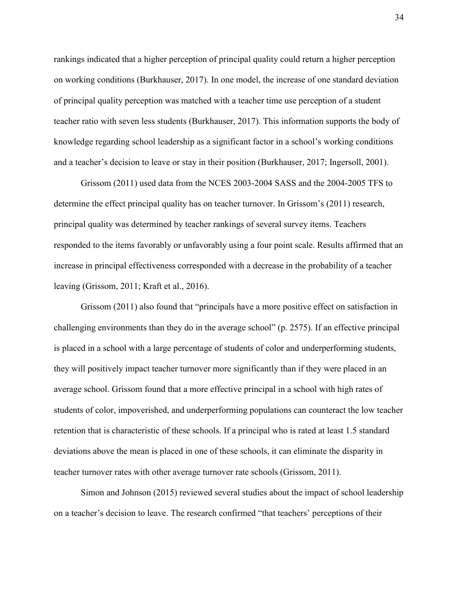rankings indicated that a higher perception of principal quality could return a higher perception on working conditions (Burkhauser, 2017). In one model, the increase of one standard deviation of principal quality perception was matched with a teacher time use perception of a student teacher ratio with seven less students (Burkhauser, 2017). This information supports the body of knowledge regarding school leadership as a significant factor in a school's working conditions and a teacher's decision to leave or stay in their position (Burkhauser, 2017; Ingersoll, 2001).

Grissom (2011) used data from the NCES 2003-2004 SASS and the 2004-2005 TFS to determine the effect principal quality has on teacher turnover. In Grissom's (2011) research, principal quality was determined by teacher rankings of several survey items. Teachers responded to the items favorably or unfavorably using a four point scale. Results affirmed that an increase in principal effectiveness corresponded with a decrease in the probability of a teacher leaving (Grissom, 2011; Kraft et al., 2016).

Grissom (2011) also found that "principals have a more positive effect on satisfaction in challenging environments than they do in the average school" (p. 2575). If an effective principal is placed in a school with a large percentage of students of color and underperforming students, they will positively impact teacher turnover more significantly than if they were placed in an average school. Grissom found that a more effective principal in a school with high rates of students of color, impoverished, and underperforming populations can counteract the low teacher retention that is characteristic of these schools. If a principal who is rated at least 1.5 standard deviations above the mean is placed in one of these schools, it can eliminate the disparity in teacher turnover rates with other average turnover rate schools (Grissom, 2011).

Simon and Johnson (2015) reviewed several studies about the impact of school leadership on a teacher's decision to leave. The research confirmed "that teachers' perceptions of their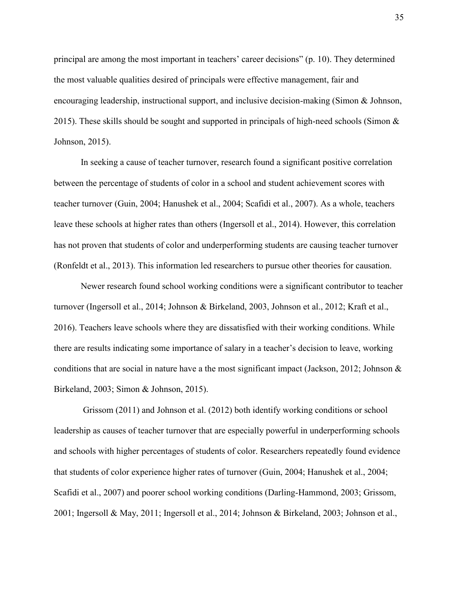principal are among the most important in teachers' career decisions" (p. 10). They determined the most valuable qualities desired of principals were effective management, fair and encouraging leadership, instructional support, and inclusive decision-making (Simon & Johnson, 2015). These skills should be sought and supported in principals of high-need schools (Simon  $\&$ Johnson, 2015).

In seeking a cause of teacher turnover, research found a significant positive correlation between the percentage of students of color in a school and student achievement scores with teacher turnover (Guin, 2004; Hanushek et al., 2004; Scafidi et al., 2007). As a whole, teachers leave these schools at higher rates than others (Ingersoll et al., 2014). However, this correlation has not proven that students of color and underperforming students are causing teacher turnover (Ronfeldt et al., 2013). This information led researchers to pursue other theories for causation.

Newer research found school working conditions were a significant contributor to teacher turnover (Ingersoll et al., 2014; Johnson & Birkeland, 2003, Johnson et al., 2012; Kraft et al., 2016). Teachers leave schools where they are dissatisfied with their working conditions. While there are results indicating some importance of salary in a teacher's decision to leave, working conditions that are social in nature have a the most significant impact (Jackson, 2012; Johnson  $\&$ Birkeland, 2003; Simon & Johnson, 2015).

Grissom (2011) and Johnson et al. (2012) both identify working conditions or school leadership as causes of teacher turnover that are especially powerful in underperforming schools and schools with higher percentages of students of color. Researchers repeatedly found evidence that students of color experience higher rates of turnover (Guin, 2004; Hanushek et al., 2004; Scafidi et al., 2007) and poorer school working conditions (Darling-Hammond, 2003; Grissom, 2001; Ingersoll & May, 2011; Ingersoll et al., 2014; Johnson & Birkeland, 2003; Johnson et al.,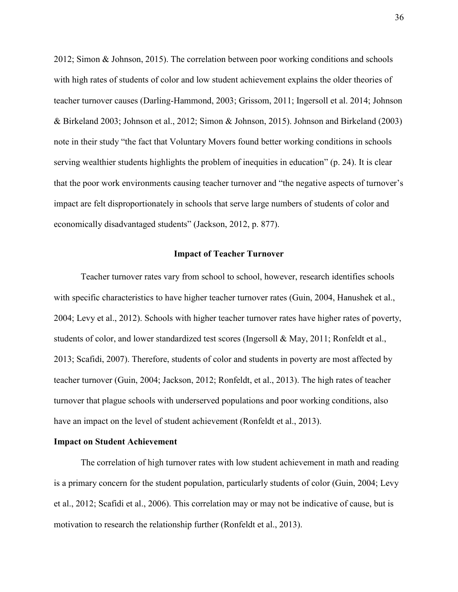2012; Simon & Johnson, 2015). The correlation between poor working conditions and schools with high rates of students of color and low student achievement explains the older theories of teacher turnover causes (Darling-Hammond, 2003; Grissom, 2011; Ingersoll et al. 2014; Johnson & Birkeland 2003; Johnson et al., 2012; Simon & Johnson, 2015). Johnson and Birkeland (2003) note in their study "the fact that Voluntary Movers found better working conditions in schools serving wealthier students highlights the problem of inequities in education" (p. 24). It is clear that the poor work environments causing teacher turnover and "the negative aspects of turnover's impact are felt disproportionately in schools that serve large numbers of students of color and economically disadvantaged students" (Jackson, 2012, p. 877).

#### **Impact of Teacher Turnover**

Teacher turnover rates vary from school to school, however, research identifies schools with specific characteristics to have higher teacher turnover rates (Guin, 2004, Hanushek et al., 2004; Levy et al., 2012). Schools with higher teacher turnover rates have higher rates of poverty, students of color, and lower standardized test scores (Ingersoll & May, 2011; Ronfeldt et al., 2013; Scafidi, 2007). Therefore, students of color and students in poverty are most affected by teacher turnover (Guin, 2004; Jackson, 2012; Ronfeldt, et al., 2013). The high rates of teacher turnover that plague schools with underserved populations and poor working conditions, also have an impact on the level of student achievement (Ronfeldt et al., 2013).

#### **Impact on Student Achievement**

The correlation of high turnover rates with low student achievement in math and reading is a primary concern for the student population, particularly students of color (Guin, 2004; Levy et al., 2012; Scafidi et al., 2006). This correlation may or may not be indicative of cause, but is motivation to research the relationship further (Ronfeldt et al., 2013).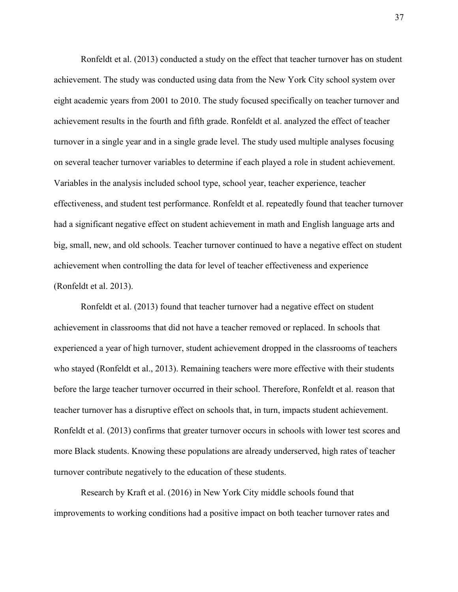Ronfeldt et al. (2013) conducted a study on the effect that teacher turnover has on student achievement. The study was conducted using data from the New York City school system over eight academic years from 2001 to 2010. The study focused specifically on teacher turnover and achievement results in the fourth and fifth grade. Ronfeldt et al. analyzed the effect of teacher turnover in a single year and in a single grade level. The study used multiple analyses focusing on several teacher turnover variables to determine if each played a role in student achievement. Variables in the analysis included school type, school year, teacher experience, teacher effectiveness, and student test performance. Ronfeldt et al. repeatedly found that teacher turnover had a significant negative effect on student achievement in math and English language arts and big, small, new, and old schools. Teacher turnover continued to have a negative effect on student achievement when controlling the data for level of teacher effectiveness and experience (Ronfeldt et al. 2013).

Ronfeldt et al. (2013) found that teacher turnover had a negative effect on student achievement in classrooms that did not have a teacher removed or replaced. In schools that experienced a year of high turnover, student achievement dropped in the classrooms of teachers who stayed (Ronfeldt et al., 2013). Remaining teachers were more effective with their students before the large teacher turnover occurred in their school. Therefore, Ronfeldt et al. reason that teacher turnover has a disruptive effect on schools that, in turn, impacts student achievement. Ronfeldt et al. (2013) confirms that greater turnover occurs in schools with lower test scores and more Black students. Knowing these populations are already underserved, high rates of teacher turnover contribute negatively to the education of these students.

Research by Kraft et al. (2016) in New York City middle schools found that improvements to working conditions had a positive impact on both teacher turnover rates and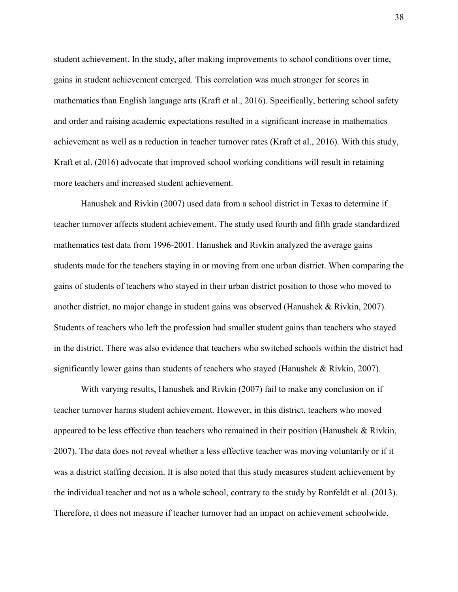student achievement. In the study, after making improvements to school conditions over time, gains in student achievement emerged. This correlation was much stronger for scores in mathematics than English language arts (Kraft et al., 2016). Specifically, bettering school safety and order and raising academic expectations resulted in a significant increase in mathematics achievement as well as a reduction in teacher turnover rates (Kraft et al., 2016). With this study, Kraft et al. (2016) advocate that improved school working conditions will result in retaining more teachers and increased student achievement.

Hanushek and Rivkin (2007) used data from a school district in Texas to determine if teacher turnover affects student achievement. The study used fourth and fifth grade standardized mathematics test data from 1996-2001. Hanushek and Rivkin analyzed the average gains students made for the teachers staying in or moving from one urban district. When comparing the gains of students of teachers who stayed in their urban district position to those who moved to another district, no major change in student gains was observed (Hanushek & Rivkin, 2007). Students of teachers who left the profession had smaller student gains than teachers who stayed in the district. There was also evidence that teachers who switched schools within the district had significantly lower gains than students of teachers who stayed (Hanushek & Rivkin, 2007).

With varying results, Hanushek and Rivkin (2007) fail to make any conclusion on if teacher turnover harms student achievement. However, in this district, teachers who moved appeared to be less effective than teachers who remained in their position (Hanushek  $\&$  Rivkin, 2007). The data does not reveal whether a less effective teacher was moving voluntarily or if it was a district staffing decision. It is also noted that this study measures student achievement by the individual teacher and not as a whole school, contrary to the study by Ronfeldt et al. (2013). Therefore, it does not measure if teacher turnover had an impact on achievement schoolwide.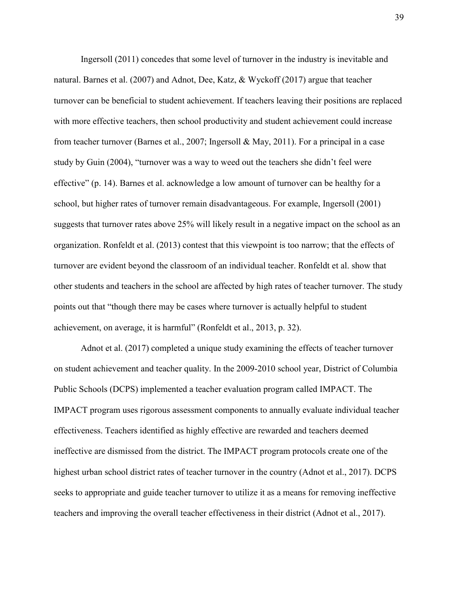Ingersoll (2011) concedes that some level of turnover in the industry is inevitable and natural. Barnes et al. (2007) and Adnot, Dee, Katz, & Wyckoff (2017) argue that teacher turnover can be beneficial to student achievement. If teachers leaving their positions are replaced with more effective teachers, then school productivity and student achievement could increase from teacher turnover (Barnes et al., 2007; Ingersoll & May, 2011). For a principal in a case study by Guin (2004), "turnover was a way to weed out the teachers she didn't feel were effective" (p. 14). Barnes et al. acknowledge a low amount of turnover can be healthy for a school, but higher rates of turnover remain disadvantageous. For example, Ingersoll (2001) suggests that turnover rates above 25% will likely result in a negative impact on the school as an organization. Ronfeldt et al. (2013) contest that this viewpoint is too narrow; that the effects of turnover are evident beyond the classroom of an individual teacher. Ronfeldt et al. show that other students and teachers in the school are affected by high rates of teacher turnover. The study points out that "though there may be cases where turnover is actually helpful to student achievement, on average, it is harmful" (Ronfeldt et al., 2013, p. 32).

Adnot et al. (2017) completed a unique study examining the effects of teacher turnover on student achievement and teacher quality. In the 2009-2010 school year, District of Columbia Public Schools (DCPS) implemented a teacher evaluation program called IMPACT. The IMPACT program uses rigorous assessment components to annually evaluate individual teacher effectiveness. Teachers identified as highly effective are rewarded and teachers deemed ineffective are dismissed from the district. The IMPACT program protocols create one of the highest urban school district rates of teacher turnover in the country (Adnot et al., 2017). DCPS seeks to appropriate and guide teacher turnover to utilize it as a means for removing ineffective teachers and improving the overall teacher effectiveness in their district (Adnot et al., 2017).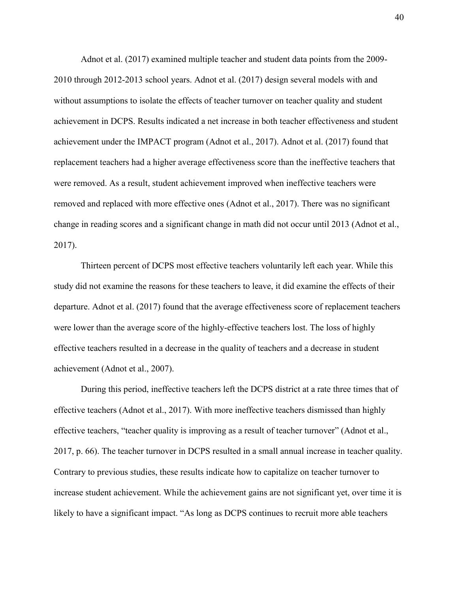Adnot et al. (2017) examined multiple teacher and student data points from the 2009- 2010 through 2012-2013 school years. Adnot et al. (2017) design several models with and without assumptions to isolate the effects of teacher turnover on teacher quality and student achievement in DCPS. Results indicated a net increase in both teacher effectiveness and student achievement under the IMPACT program (Adnot et al., 2017). Adnot et al. (2017) found that replacement teachers had a higher average effectiveness score than the ineffective teachers that were removed. As a result, student achievement improved when ineffective teachers were removed and replaced with more effective ones (Adnot et al., 2017). There was no significant change in reading scores and a significant change in math did not occur until 2013 (Adnot et al., 2017).

Thirteen percent of DCPS most effective teachers voluntarily left each year. While this study did not examine the reasons for these teachers to leave, it did examine the effects of their departure. Adnot et al. (2017) found that the average effectiveness score of replacement teachers were lower than the average score of the highly-effective teachers lost. The loss of highly effective teachers resulted in a decrease in the quality of teachers and a decrease in student achievement (Adnot et al., 2007).

During this period, ineffective teachers left the DCPS district at a rate three times that of effective teachers (Adnot et al., 2017). With more ineffective teachers dismissed than highly effective teachers, "teacher quality is improving as a result of teacher turnover" (Adnot et al., 2017, p. 66). The teacher turnover in DCPS resulted in a small annual increase in teacher quality. Contrary to previous studies, these results indicate how to capitalize on teacher turnover to increase student achievement. While the achievement gains are not significant yet, over time it is likely to have a significant impact. "As long as DCPS continues to recruit more able teachers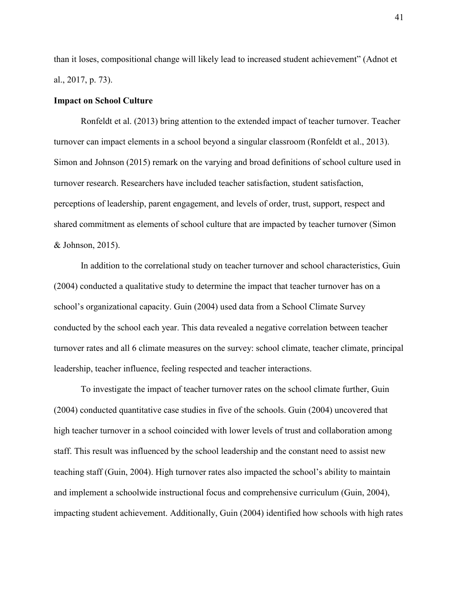than it loses, compositional change will likely lead to increased student achievement" (Adnot et al., 2017, p. 73).

#### **Impact on School Culture**

Ronfeldt et al. (2013) bring attention to the extended impact of teacher turnover. Teacher turnover can impact elements in a school beyond a singular classroom (Ronfeldt et al., 2013). Simon and Johnson (2015) remark on the varying and broad definitions of school culture used in turnover research. Researchers have included teacher satisfaction, student satisfaction, perceptions of leadership, parent engagement, and levels of order, trust, support, respect and shared commitment as elements of school culture that are impacted by teacher turnover (Simon & Johnson, 2015).

In addition to the correlational study on teacher turnover and school characteristics, Guin (2004) conducted a qualitative study to determine the impact that teacher turnover has on a school's organizational capacity. Guin (2004) used data from a School Climate Survey conducted by the school each year. This data revealed a negative correlation between teacher turnover rates and all 6 climate measures on the survey: school climate, teacher climate, principal leadership, teacher influence, feeling respected and teacher interactions.

To investigate the impact of teacher turnover rates on the school climate further, Guin (2004) conducted quantitative case studies in five of the schools. Guin (2004) uncovered that high teacher turnover in a school coincided with lower levels of trust and collaboration among staff. This result was influenced by the school leadership and the constant need to assist new teaching staff (Guin, 2004). High turnover rates also impacted the school's ability to maintain and implement a schoolwide instructional focus and comprehensive curriculum (Guin, 2004), impacting student achievement. Additionally, Guin (2004) identified how schools with high rates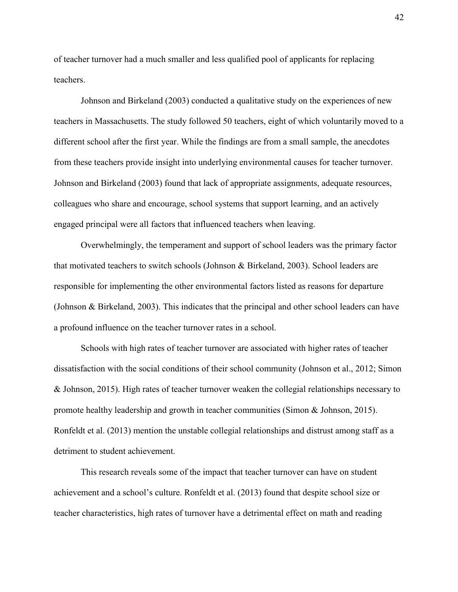of teacher turnover had a much smaller and less qualified pool of applicants for replacing teachers.

Johnson and Birkeland (2003) conducted a qualitative study on the experiences of new teachers in Massachusetts. The study followed 50 teachers, eight of which voluntarily moved to a different school after the first year. While the findings are from a small sample, the anecdotes from these teachers provide insight into underlying environmental causes for teacher turnover. Johnson and Birkeland (2003) found that lack of appropriate assignments, adequate resources, colleagues who share and encourage, school systems that support learning, and an actively engaged principal were all factors that influenced teachers when leaving.

Overwhelmingly, the temperament and support of school leaders was the primary factor that motivated teachers to switch schools (Johnson & Birkeland, 2003). School leaders are responsible for implementing the other environmental factors listed as reasons for departure (Johnson & Birkeland, 2003). This indicates that the principal and other school leaders can have a profound influence on the teacher turnover rates in a school.

Schools with high rates of teacher turnover are associated with higher rates of teacher dissatisfaction with the social conditions of their school community (Johnson et al., 2012; Simon & Johnson, 2015). High rates of teacher turnover weaken the collegial relationships necessary to promote healthy leadership and growth in teacher communities (Simon & Johnson, 2015). Ronfeldt et al. (2013) mention the unstable collegial relationships and distrust among staff as a detriment to student achievement.

This research reveals some of the impact that teacher turnover can have on student achievement and a school's culture. Ronfeldt et al. (2013) found that despite school size or teacher characteristics, high rates of turnover have a detrimental effect on math and reading 42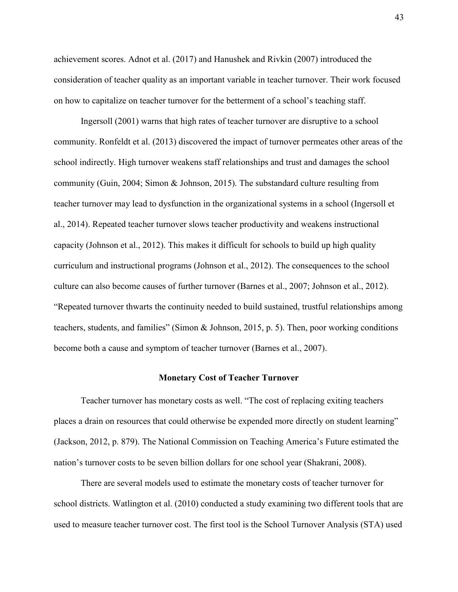achievement scores. Adnot et al. (2017) and Hanushek and Rivkin (2007) introduced the consideration of teacher quality as an important variable in teacher turnover. Their work focused on how to capitalize on teacher turnover for the betterment of a school's teaching staff.

Ingersoll (2001) warns that high rates of teacher turnover are disruptive to a school community. Ronfeldt et al. (2013) discovered the impact of turnover permeates other areas of the school indirectly. High turnover weakens staff relationships and trust and damages the school community (Guin, 2004; Simon & Johnson, 2015). The substandard culture resulting from teacher turnover may lead to dysfunction in the organizational systems in a school (Ingersoll et al., 2014). Repeated teacher turnover slows teacher productivity and weakens instructional capacity (Johnson et al., 2012). This makes it difficult for schools to build up high quality curriculum and instructional programs (Johnson et al., 2012). The consequences to the school culture can also become causes of further turnover (Barnes et al., 2007; Johnson et al., 2012). "Repeated turnover thwarts the continuity needed to build sustained, trustful relationships among teachers, students, and families" (Simon & Johnson, 2015, p. 5). Then, poor working conditions become both a cause and symptom of teacher turnover (Barnes et al., 2007).

#### **Monetary Cost of Teacher Turnover**

Teacher turnover has monetary costs as well. "The cost of replacing exiting teachers places a drain on resources that could otherwise be expended more directly on student learning" (Jackson, 2012, p. 879). The National Commission on Teaching America's Future estimated the nation's turnover costs to be seven billion dollars for one school year (Shakrani, 2008).

There are several models used to estimate the monetary costs of teacher turnover for school districts. Watlington et al. (2010) conducted a study examining two different tools that are used to measure teacher turnover cost. The first tool is the School Turnover Analysis (STA) used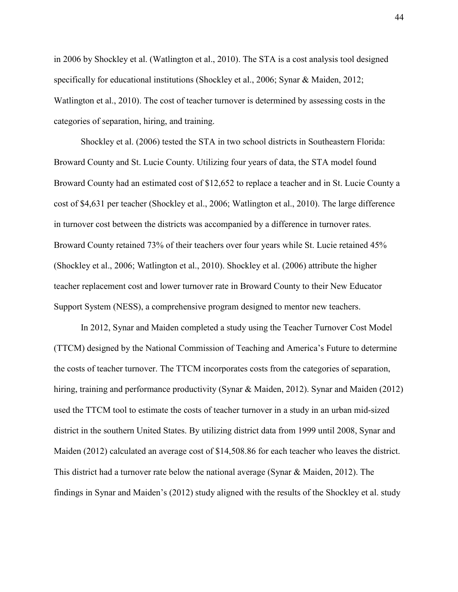in 2006 by Shockley et al. (Watlington et al., 2010). The STA is a cost analysis tool designed specifically for educational institutions (Shockley et al., 2006; Synar & Maiden, 2012; Watlington et al., 2010). The cost of teacher turnover is determined by assessing costs in the categories of separation, hiring, and training.

Shockley et al. (2006) tested the STA in two school districts in Southeastern Florida: Broward County and St. Lucie County. Utilizing four years of data, the STA model found Broward County had an estimated cost of \$12,652 to replace a teacher and in St. Lucie County a cost of \$4,631 per teacher (Shockley et al., 2006; Watlington et al., 2010). The large difference in turnover cost between the districts was accompanied by a difference in turnover rates. Broward County retained 73% of their teachers over four years while St. Lucie retained 45% (Shockley et al., 2006; Watlington et al., 2010). Shockley et al. (2006) attribute the higher teacher replacement cost and lower turnover rate in Broward County to their New Educator Support System (NESS), a comprehensive program designed to mentor new teachers.

In 2012, Synar and Maiden completed a study using the Teacher Turnover Cost Model (TTCM) designed by the National Commission of Teaching and America's Future to determine the costs of teacher turnover. The TTCM incorporates costs from the categories of separation, hiring, training and performance productivity (Synar & Maiden, 2012). Synar and Maiden (2012) used the TTCM tool to estimate the costs of teacher turnover in a study in an urban mid-sized district in the southern United States. By utilizing district data from 1999 until 2008, Synar and Maiden (2012) calculated an average cost of \$14,508.86 for each teacher who leaves the district. This district had a turnover rate below the national average (Synar & Maiden, 2012). The findings in Synar and Maiden's (2012) study aligned with the results of the Shockley et al. study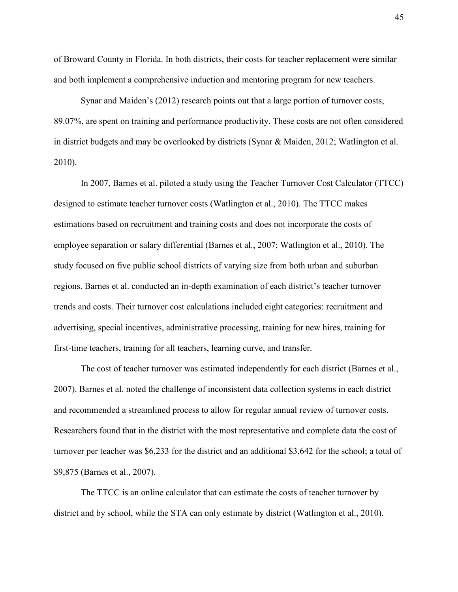of Broward County in Florida. In both districts, their costs for teacher replacement were similar and both implement a comprehensive induction and mentoring program for new teachers.

Synar and Maiden's (2012) research points out that a large portion of turnover costs, 89.07%, are spent on training and performance productivity. These costs are not often considered in district budgets and may be overlooked by districts (Synar & Maiden, 2012; Watlington et al. 2010).

In 2007, Barnes et al. piloted a study using the Teacher Turnover Cost Calculator (TTCC) designed to estimate teacher turnover costs (Watlington et al., 2010). The TTCC makes estimations based on recruitment and training costs and does not incorporate the costs of employee separation or salary differential (Barnes et al., 2007; Watlington et al., 2010). The study focused on five public school districts of varying size from both urban and suburban regions. Barnes et al. conducted an in-depth examination of each district's teacher turnover trends and costs. Their turnover cost calculations included eight categories: recruitment and advertising, special incentives, administrative processing, training for new hires, training for first-time teachers, training for all teachers, learning curve, and transfer.

The cost of teacher turnover was estimated independently for each district (Barnes et al., 2007). Barnes et al. noted the challenge of inconsistent data collection systems in each district and recommended a streamlined process to allow for regular annual review of turnover costs. Researchers found that in the district with the most representative and complete data the cost of turnover per teacher was \$6,233 for the district and an additional \$3,642 for the school; a total of \$9,875 (Barnes et al., 2007).

The TTCC is an online calculator that can estimate the costs of teacher turnover by district and by school, while the STA can only estimate by district (Watlington et al., 2010).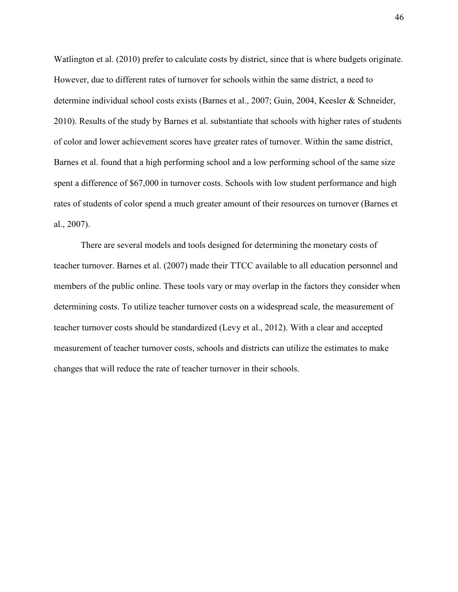Watlington et al. (2010) prefer to calculate costs by district, since that is where budgets originate. However, due to different rates of turnover for schools within the same district, a need to determine individual school costs exists (Barnes et al., 2007; Guin, 2004, Keesler & Schneider, 2010). Results of the study by Barnes et al. substantiate that schools with higher rates of students of color and lower achievement scores have greater rates of turnover. Within the same district, Barnes et al. found that a high performing school and a low performing school of the same size spent a difference of \$67,000 in turnover costs. Schools with low student performance and high rates of students of color spend a much greater amount of their resources on turnover (Barnes et al., 2007).

There are several models and tools designed for determining the monetary costs of teacher turnover. Barnes et al. (2007) made their TTCC available to all education personnel and members of the public online. These tools vary or may overlap in the factors they consider when determining costs. To utilize teacher turnover costs on a widespread scale, the measurement of teacher turnover costs should be standardized (Levy et al., 2012). With a clear and accepted measurement of teacher turnover costs, schools and districts can utilize the estimates to make changes that will reduce the rate of teacher turnover in their schools.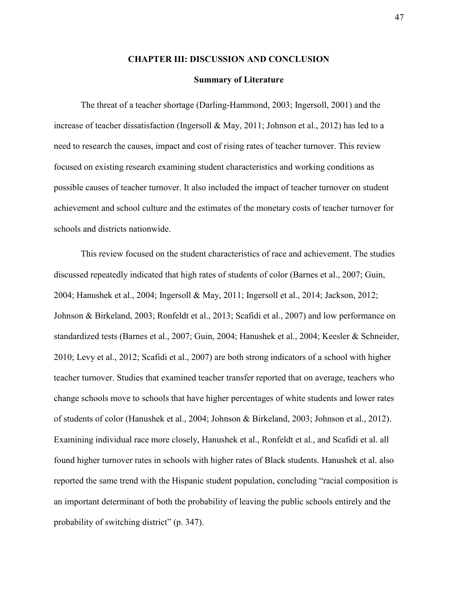#### **CHAPTER III: DISCUSSION AND CONCLUSION**

#### **Summary of Literature**

The threat of a teacher shortage (Darling-Hammond, 2003; Ingersoll, 2001) and the increase of teacher dissatisfaction (Ingersoll & May, 2011; Johnson et al., 2012) has led to a need to research the causes, impact and cost of rising rates of teacher turnover. This review focused on existing research examining student characteristics and working conditions as possible causes of teacher turnover. It also included the impact of teacher turnover on student achievement and school culture and the estimates of the monetary costs of teacher turnover for schools and districts nationwide.

This review focused on the student characteristics of race and achievement. The studies discussed repeatedly indicated that high rates of students of color (Barnes et al., 2007; Guin, 2004; Hanushek et al., 2004; Ingersoll & May, 2011; Ingersoll et al., 2014; Jackson, 2012; Johnson & Birkeland, 2003; Ronfeldt et al., 2013; Scafidi et al., 2007) and low performance on standardized tests (Barnes et al., 2007; Guin, 2004; Hanushek et al., 2004; Keesler & Schneider, 2010; Levy et al., 2012; Scafidi et al., 2007) are both strong indicators of a school with higher teacher turnover. Studies that examined teacher transfer reported that on average, teachers who change schools move to schools that have higher percentages of white students and lower rates of students of color (Hanushek et al., 2004; Johnson & Birkeland, 2003; Johnson et al., 2012). Examining individual race more closely, Hanushek et al., Ronfeldt et al., and Scafidi et al. all found higher turnover rates in schools with higher rates of Black students. Hanushek et al. also reported the same trend with the Hispanic student population, concluding "racial composition is an important determinant of both the probability of leaving the public schools entirely and the probability of switching district" (p. 347).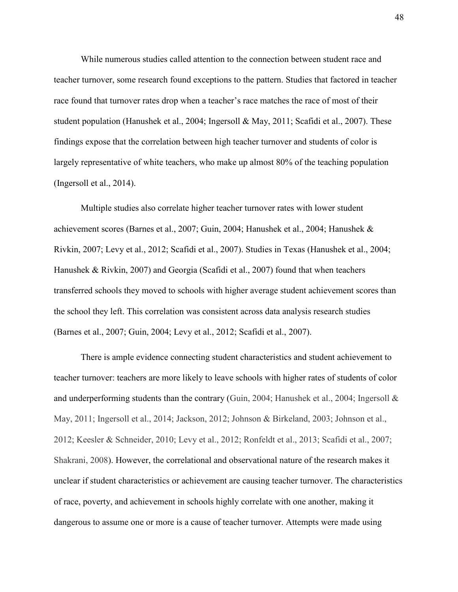While numerous studies called attention to the connection between student race and teacher turnover, some research found exceptions to the pattern. Studies that factored in teacher race found that turnover rates drop when a teacher's race matches the race of most of their student population (Hanushek et al., 2004; Ingersoll & May, 2011; Scafidi et al., 2007). These findings expose that the correlation between high teacher turnover and students of color is largely representative of white teachers, who make up almost 80% of the teaching population (Ingersoll et al., 2014).

Multiple studies also correlate higher teacher turnover rates with lower student achievement scores (Barnes et al., 2007; Guin, 2004; Hanushek et al., 2004; Hanushek & Rivkin, 2007; Levy et al., 2012; Scafidi et al., 2007). Studies in Texas (Hanushek et al., 2004; Hanushek & Rivkin, 2007) and Georgia (Scafidi et al., 2007) found that when teachers transferred schools they moved to schools with higher average student achievement scores than the school they left. This correlation was consistent across data analysis research studies (Barnes et al., 2007; Guin, 2004; Levy et al., 2012; Scafidi et al., 2007).

There is ample evidence connecting student characteristics and student achievement to teacher turnover: teachers are more likely to leave schools with higher rates of students of color and underperforming students than the contrary (Guin, 2004; Hanushek et al., 2004; Ingersoll & May, 2011; Ingersoll et al., 2014; Jackson, 2012; Johnson & Birkeland, 2003; Johnson et al., 2012; Keesler & Schneider, 2010; Levy et al., 2012; Ronfeldt et al., 2013; Scafidi et al., 2007; Shakrani, 2008). However, the correlational and observational nature of the research makes it unclear if student characteristics or achievement are causing teacher turnover. The characteristics of race, poverty, and achievement in schools highly correlate with one another, making it dangerous to assume one or more is a cause of teacher turnover. Attempts were made using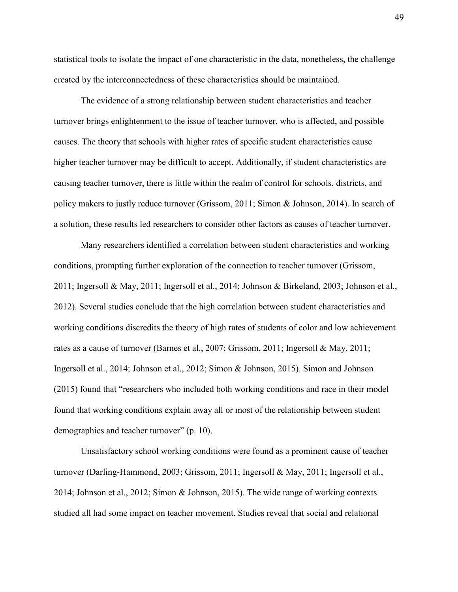statistical tools to isolate the impact of one characteristic in the data, nonetheless, the challenge created by the interconnectedness of these characteristics should be maintained.

The evidence of a strong relationship between student characteristics and teacher turnover brings enlightenment to the issue of teacher turnover, who is affected, and possible causes. The theory that schools with higher rates of specific student characteristics cause higher teacher turnover may be difficult to accept. Additionally, if student characteristics are causing teacher turnover, there is little within the realm of control for schools, districts, and policy makers to justly reduce turnover (Grissom, 2011; Simon & Johnson, 2014). In search of a solution, these results led researchers to consider other factors as causes of teacher turnover.

Many researchers identified a correlation between student characteristics and working conditions, prompting further exploration of the connection to teacher turnover (Grissom, 2011; Ingersoll & May, 2011; Ingersoll et al., 2014; Johnson & Birkeland, 2003; Johnson et al., 2012). Several studies conclude that the high correlation between student characteristics and working conditions discredits the theory of high rates of students of color and low achievement rates as a cause of turnover (Barnes et al., 2007; Grissom, 2011; Ingersoll & May, 2011; Ingersoll et al., 2014; Johnson et al., 2012; Simon & Johnson, 2015). Simon and Johnson (2015) found that "researchers who included both working conditions and race in their model found that working conditions explain away all or most of the relationship between student demographics and teacher turnover" (p. 10).

Unsatisfactory school working conditions were found as a prominent cause of teacher turnover (Darling-Hammond, 2003; Grissom, 2011; Ingersoll & May, 2011; Ingersoll et al., 2014; Johnson et al., 2012; Simon & Johnson, 2015). The wide range of working contexts studied all had some impact on teacher movement. Studies reveal that social and relational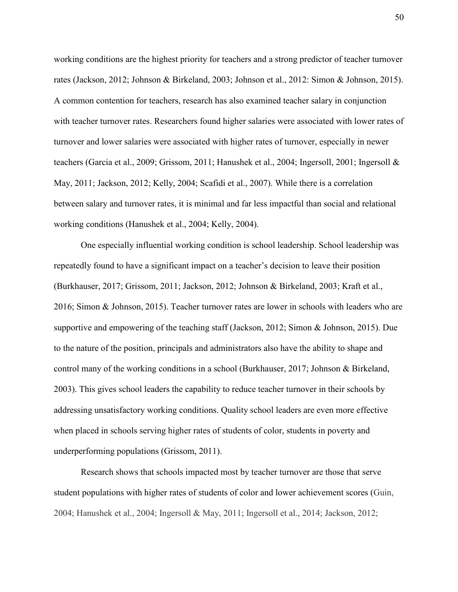working conditions are the highest priority for teachers and a strong predictor of teacher turnover rates (Jackson, 2012; Johnson & Birkeland, 2003; Johnson et al., 2012: Simon & Johnson, 2015). A common contention for teachers, research has also examined teacher salary in conjunction with teacher turnover rates. Researchers found higher salaries were associated with lower rates of turnover and lower salaries were associated with higher rates of turnover, especially in newer teachers (Garcia et al., 2009; Grissom, 2011; Hanushek et al., 2004; Ingersoll, 2001; Ingersoll & May, 2011; Jackson, 2012; Kelly, 2004; Scafidi et al., 2007). While there is a correlation between salary and turnover rates, it is minimal and far less impactful than social and relational working conditions (Hanushek et al., 2004; Kelly, 2004).

One especially influential working condition is school leadership. School leadership was repeatedly found to have a significant impact on a teacher's decision to leave their position (Burkhauser, 2017; Grissom, 2011; Jackson, 2012; Johnson & Birkeland, 2003; Kraft et al., 2016; Simon & Johnson, 2015). Teacher turnover rates are lower in schools with leaders who are supportive and empowering of the teaching staff (Jackson, 2012; Simon & Johnson, 2015). Due to the nature of the position, principals and administrators also have the ability to shape and control many of the working conditions in a school (Burkhauser, 2017; Johnson & Birkeland, 2003). This gives school leaders the capability to reduce teacher turnover in their schools by addressing unsatisfactory working conditions. Quality school leaders are even more effective when placed in schools serving higher rates of students of color, students in poverty and underperforming populations (Grissom, 2011).

Research shows that schools impacted most by teacher turnover are those that serve student populations with higher rates of students of color and lower achievement scores (Guin, 2004; Hanushek et al., 2004; Ingersoll & May, 2011; Ingersoll et al., 2014; Jackson, 2012;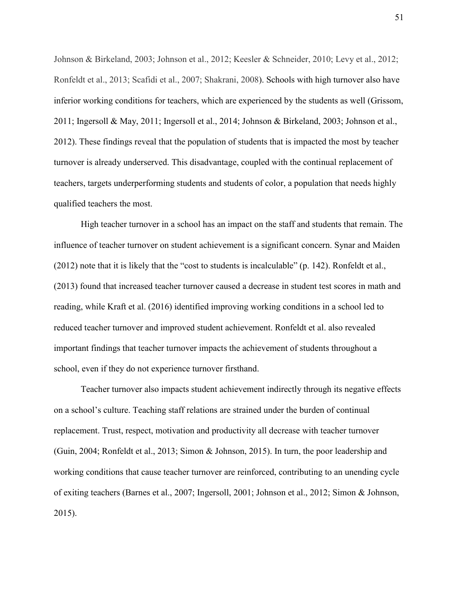Johnson & Birkeland, 2003; Johnson et al., 2012; Keesler & Schneider, 2010; Levy et al., 2012; Ronfeldt et al., 2013; Scafidi et al., 2007; Shakrani, 2008). Schools with high turnover also have inferior working conditions for teachers, which are experienced by the students as well (Grissom, 2011; Ingersoll & May, 2011; Ingersoll et al., 2014; Johnson & Birkeland, 2003; Johnson et al., 2012). These findings reveal that the population of students that is impacted the most by teacher turnover is already underserved. This disadvantage, coupled with the continual replacement of teachers, targets underperforming students and students of color, a population that needs highly qualified teachers the most.

High teacher turnover in a school has an impact on the staff and students that remain. The influence of teacher turnover on student achievement is a significant concern. Synar and Maiden (2012) note that it is likely that the "cost to students is incalculable" (p. 142). Ronfeldt et al., (2013) found that increased teacher turnover caused a decrease in student test scores in math and reading, while Kraft et al. (2016) identified improving working conditions in a school led to reduced teacher turnover and improved student achievement. Ronfeldt et al. also revealed important findings that teacher turnover impacts the achievement of students throughout a school, even if they do not experience turnover firsthand.

Teacher turnover also impacts student achievement indirectly through its negative effects on a school's culture. Teaching staff relations are strained under the burden of continual replacement. Trust, respect, motivation and productivity all decrease with teacher turnover (Guin, 2004; Ronfeldt et al., 2013; Simon & Johnson, 2015). In turn, the poor leadership and working conditions that cause teacher turnover are reinforced, contributing to an unending cycle of exiting teachers (Barnes et al., 2007; Ingersoll, 2001; Johnson et al., 2012; Simon & Johnson, 2015).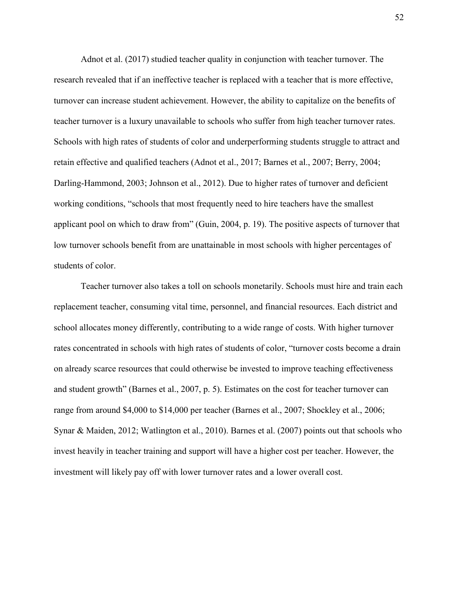Adnot et al. (2017) studied teacher quality in conjunction with teacher turnover. The research revealed that if an ineffective teacher is replaced with a teacher that is more effective, turnover can increase student achievement. However, the ability to capitalize on the benefits of teacher turnover is a luxury unavailable to schools who suffer from high teacher turnover rates. Schools with high rates of students of color and underperforming students struggle to attract and retain effective and qualified teachers (Adnot et al., 2017; Barnes et al., 2007; Berry, 2004; Darling-Hammond, 2003; Johnson et al., 2012). Due to higher rates of turnover and deficient working conditions, "schools that most frequently need to hire teachers have the smallest applicant pool on which to draw from" (Guin, 2004, p. 19). The positive aspects of turnover that low turnover schools benefit from are unattainable in most schools with higher percentages of students of color.

Teacher turnover also takes a toll on schools monetarily. Schools must hire and train each replacement teacher, consuming vital time, personnel, and financial resources. Each district and school allocates money differently, contributing to a wide range of costs. With higher turnover rates concentrated in schools with high rates of students of color, "turnover costs become a drain on already scarce resources that could otherwise be invested to improve teaching effectiveness and student growth" (Barnes et al., 2007, p. 5). Estimates on the cost for teacher turnover can range from around \$4,000 to \$14,000 per teacher (Barnes et al., 2007; Shockley et al., 2006; Synar & Maiden, 2012; Watlington et al., 2010). Barnes et al. (2007) points out that schools who invest heavily in teacher training and support will have a higher cost per teacher. However, the investment will likely pay off with lower turnover rates and a lower overall cost.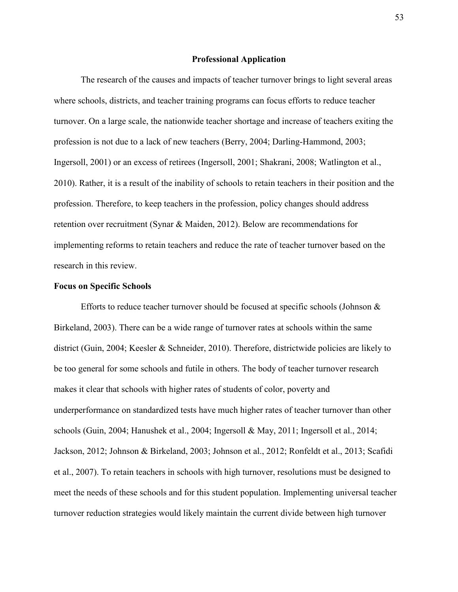#### **Professional Application**

The research of the causes and impacts of teacher turnover brings to light several areas where schools, districts, and teacher training programs can focus efforts to reduce teacher turnover. On a large scale, the nationwide teacher shortage and increase of teachers exiting the profession is not due to a lack of new teachers (Berry, 2004; Darling-Hammond, 2003; Ingersoll, 2001) or an excess of retirees (Ingersoll, 2001; Shakrani, 2008; Watlington et al., 2010). Rather, it is a result of the inability of schools to retain teachers in their position and the profession. Therefore, to keep teachers in the profession, policy changes should address retention over recruitment (Synar & Maiden, 2012). Below are recommendations for implementing reforms to retain teachers and reduce the rate of teacher turnover based on the research in this review.

#### **Focus on Specific Schools**

Efforts to reduce teacher turnover should be focused at specific schools (Johnson  $\&$ Birkeland, 2003). There can be a wide range of turnover rates at schools within the same district (Guin, 2004; Keesler & Schneider, 2010). Therefore, districtwide policies are likely to be too general for some schools and futile in others. The body of teacher turnover research makes it clear that schools with higher rates of students of color, poverty and underperformance on standardized tests have much higher rates of teacher turnover than other schools (Guin, 2004; Hanushek et al., 2004; Ingersoll & May, 2011; Ingersoll et al., 2014; Jackson, 2012; Johnson & Birkeland, 2003; Johnson et al., 2012; Ronfeldt et al., 2013; Scafidi et al., 2007). To retain teachers in schools with high turnover, resolutions must be designed to meet the needs of these schools and for this student population. Implementing universal teacher turnover reduction strategies would likely maintain the current divide between high turnover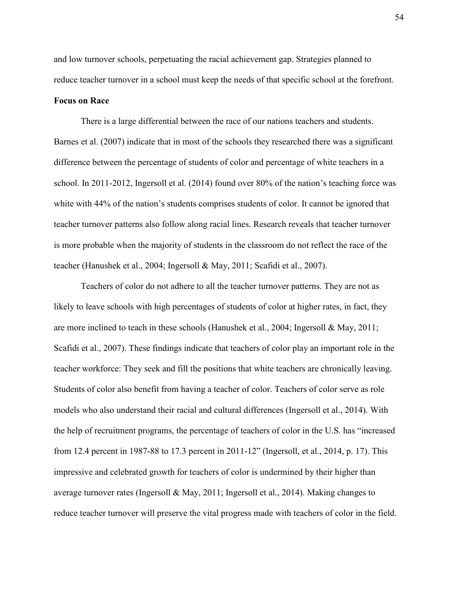and low turnover schools, perpetuating the racial achievement gap. Strategies planned to reduce teacher turnover in a school must keep the needs of that specific school at the forefront.

#### **Focus on Race**

There is a large differential between the race of our nations teachers and students. Barnes et al. (2007) indicate that in most of the schools they researched there was a significant difference between the percentage of students of color and percentage of white teachers in a school. In 2011-2012, Ingersoll et al. (2014) found over 80% of the nation's teaching force was white with 44% of the nation's students comprises students of color. It cannot be ignored that teacher turnover patterns also follow along racial lines. Research reveals that teacher turnover is more probable when the majority of students in the classroom do not reflect the race of the teacher (Hanushek et al., 2004; Ingersoll & May, 2011; Scafidi et al., 2007).

Teachers of color do not adhere to all the teacher turnover patterns. They are not as likely to leave schools with high percentages of students of color at higher rates, in fact, they are more inclined to teach in these schools (Hanushek et al., 2004; Ingersoll & May, 2011; Scafidi et al., 2007). These findings indicate that teachers of color play an important role in the teacher workforce: They seek and fill the positions that white teachers are chronically leaving. Students of color also benefit from having a teacher of color. Teachers of color serve as role models who also understand their racial and cultural differences (Ingersoll et al., 2014). With the help of recruitment programs, the percentage of teachers of color in the U.S. has "increased from 12.4 percent in 1987-88 to 17.3 percent in 2011-12" (Ingersoll, et al., 2014, p. 17). This impressive and celebrated growth for teachers of color is undermined by their higher than average turnover rates (Ingersoll & May, 2011; Ingersoll et al., 2014). Making changes to reduce teacher turnover will preserve the vital progress made with teachers of color in the field.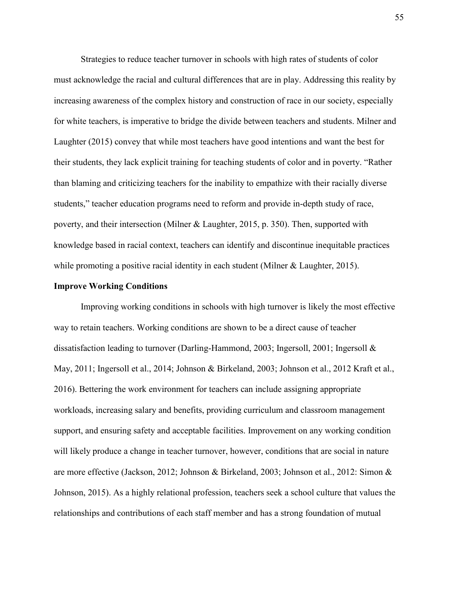Strategies to reduce teacher turnover in schools with high rates of students of color must acknowledge the racial and cultural differences that are in play. Addressing this reality by increasing awareness of the complex history and construction of race in our society, especially for white teachers, is imperative to bridge the divide between teachers and students. Milner and Laughter (2015) convey that while most teachers have good intentions and want the best for their students, they lack explicit training for teaching students of color and in poverty. "Rather than blaming and criticizing teachers for the inability to empathize with their racially diverse students," teacher education programs need to reform and provide in-depth study of race, poverty, and their intersection (Milner & Laughter, 2015, p. 350). Then, supported with knowledge based in racial context, teachers can identify and discontinue inequitable practices while promoting a positive racial identity in each student (Milner  $&$  Laughter, 2015).

#### **Improve Working Conditions**

Improving working conditions in schools with high turnover is likely the most effective way to retain teachers. Working conditions are shown to be a direct cause of teacher dissatisfaction leading to turnover (Darling-Hammond, 2003; Ingersoll, 2001; Ingersoll & May, 2011; Ingersoll et al., 2014; Johnson & Birkeland, 2003; Johnson et al., 2012 Kraft et al., 2016). Bettering the work environment for teachers can include assigning appropriate workloads, increasing salary and benefits, providing curriculum and classroom management support, and ensuring safety and acceptable facilities. Improvement on any working condition will likely produce a change in teacher turnover, however, conditions that are social in nature are more effective (Jackson, 2012; Johnson & Birkeland, 2003; Johnson et al., 2012: Simon & Johnson, 2015). As a highly relational profession, teachers seek a school culture that values the relationships and contributions of each staff member and has a strong foundation of mutual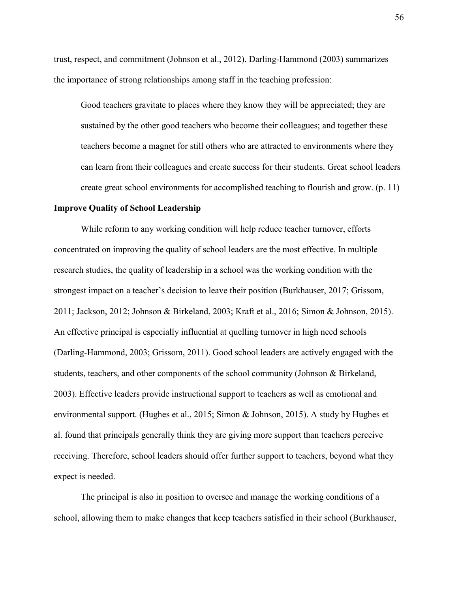trust, respect, and commitment (Johnson et al., 2012). Darling-Hammond (2003) summarizes the importance of strong relationships among staff in the teaching profession:

Good teachers gravitate to places where they know they will be appreciated; they are sustained by the other good teachers who become their colleagues; and together these teachers become a magnet for still others who are attracted to environments where they can learn from their colleagues and create success for their students. Great school leaders create great school environments for accomplished teaching to flourish and grow. (p. 11)

#### **Improve Quality of School Leadership**

While reform to any working condition will help reduce teacher turnover, efforts concentrated on improving the quality of school leaders are the most effective. In multiple research studies, the quality of leadership in a school was the working condition with the strongest impact on a teacher's decision to leave their position (Burkhauser, 2017; Grissom, 2011; Jackson, 2012; Johnson & Birkeland, 2003; Kraft et al., 2016; Simon & Johnson, 2015). An effective principal is especially influential at quelling turnover in high need schools (Darling-Hammond, 2003; Grissom, 2011). Good school leaders are actively engaged with the students, teachers, and other components of the school community (Johnson & Birkeland, 2003). Effective leaders provide instructional support to teachers as well as emotional and environmental support. (Hughes et al., 2015; Simon & Johnson, 2015). A study by Hughes et al. found that principals generally think they are giving more support than teachers perceive receiving. Therefore, school leaders should offer further support to teachers, beyond what they expect is needed.

The principal is also in position to oversee and manage the working conditions of a school, allowing them to make changes that keep teachers satisfied in their school (Burkhauser,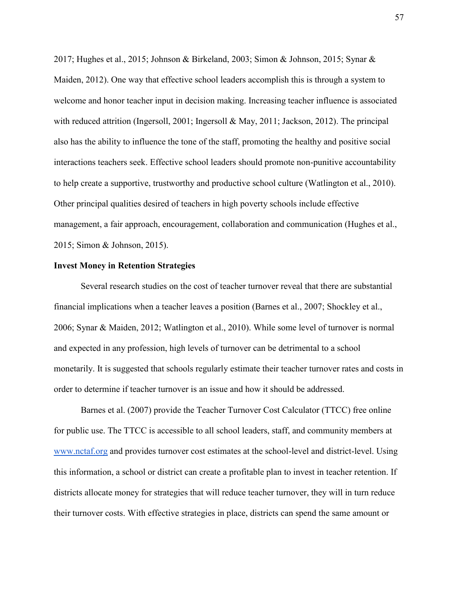2017; Hughes et al., 2015; Johnson & Birkeland, 2003; Simon & Johnson, 2015; Synar & Maiden, 2012). One way that effective school leaders accomplish this is through a system to welcome and honor teacher input in decision making. Increasing teacher influence is associated with reduced attrition (Ingersoll, 2001; Ingersoll & May, 2011; Jackson, 2012). The principal also has the ability to influence the tone of the staff, promoting the healthy and positive social interactions teachers seek. Effective school leaders should promote non-punitive accountability to help create a supportive, trustworthy and productive school culture (Watlington et al., 2010). Other principal qualities desired of teachers in high poverty schools include effective management, a fair approach, encouragement, collaboration and communication (Hughes et al., 2015; Simon & Johnson, 2015).

#### **Invest Money in Retention Strategies**

Several research studies on the cost of teacher turnover reveal that there are substantial financial implications when a teacher leaves a position (Barnes et al., 2007; Shockley et al., 2006; Synar & Maiden, 2012; Watlington et al., 2010). While some level of turnover is normal and expected in any profession, high levels of turnover can be detrimental to a school monetarily. It is suggested that schools regularly estimate their teacher turnover rates and costs in order to determine if teacher turnover is an issue and how it should be addressed.

Barnes et al. (2007) provide the Teacher Turnover Cost Calculator (TTCC) free online for public use. The TTCC is accessible to all school leaders, staff, and community members at [www.nctaf.org](http://www.nctaf.org/) and provides turnover cost estimates at the school-level and district-level. Using this information, a school or district can create a profitable plan to invest in teacher retention. If districts allocate money for strategies that will reduce teacher turnover, they will in turn reduce their turnover costs. With effective strategies in place, districts can spend the same amount or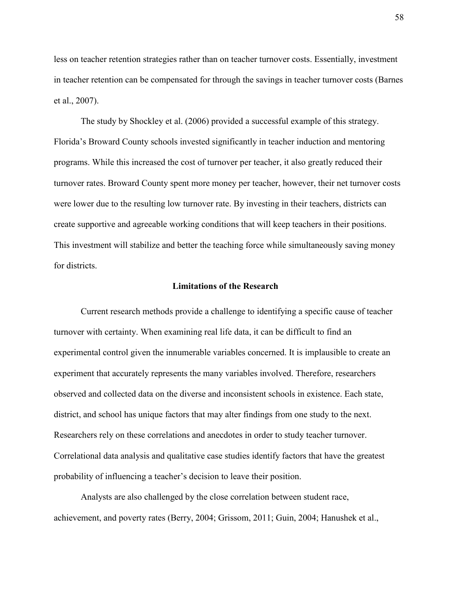less on teacher retention strategies rather than on teacher turnover costs. Essentially, investment in teacher retention can be compensated for through the savings in teacher turnover costs (Barnes et al., 2007).

The study by Shockley et al. (2006) provided a successful example of this strategy. Florida's Broward County schools invested significantly in teacher induction and mentoring programs. While this increased the cost of turnover per teacher, it also greatly reduced their turnover rates. Broward County spent more money per teacher, however, their net turnover costs were lower due to the resulting low turnover rate. By investing in their teachers, districts can create supportive and agreeable working conditions that will keep teachers in their positions. This investment will stabilize and better the teaching force while simultaneously saving money for districts.

#### **Limitations of the Research**

Current research methods provide a challenge to identifying a specific cause of teacher turnover with certainty. When examining real life data, it can be difficult to find an experimental control given the innumerable variables concerned. It is implausible to create an experiment that accurately represents the many variables involved. Therefore, researchers observed and collected data on the diverse and inconsistent schools in existence. Each state, district, and school has unique factors that may alter findings from one study to the next. Researchers rely on these correlations and anecdotes in order to study teacher turnover. Correlational data analysis and qualitative case studies identify factors that have the greatest probability of influencing a teacher's decision to leave their position.

Analysts are also challenged by the close correlation between student race, achievement, and poverty rates (Berry, 2004; Grissom, 2011; Guin, 2004; Hanushek et al.,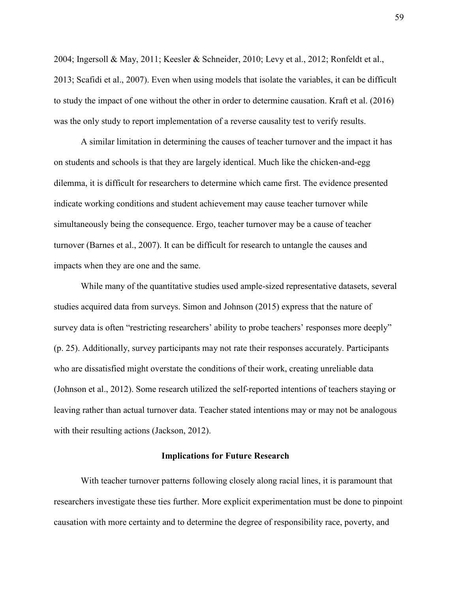2004; Ingersoll & May, 2011; Keesler & Schneider, 2010; Levy et al., 2012; Ronfeldt et al., 2013; Scafidi et al., 2007). Even when using models that isolate the variables, it can be difficult to study the impact of one without the other in order to determine causation. Kraft et al. (2016) was the only study to report implementation of a reverse causality test to verify results.

A similar limitation in determining the causes of teacher turnover and the impact it has on students and schools is that they are largely identical. Much like the chicken-and-egg dilemma, it is difficult for researchers to determine which came first. The evidence presented indicate working conditions and student achievement may cause teacher turnover while simultaneously being the consequence. Ergo, teacher turnover may be a cause of teacher turnover (Barnes et al., 2007). It can be difficult for research to untangle the causes and impacts when they are one and the same.

While many of the quantitative studies used ample-sized representative datasets, several studies acquired data from surveys. Simon and Johnson (2015) express that the nature of survey data is often "restricting researchers' ability to probe teachers' responses more deeply" (p. 25). Additionally, survey participants may not rate their responses accurately. Participants who are dissatisfied might overstate the conditions of their work, creating unreliable data (Johnson et al., 2012). Some research utilized the self-reported intentions of teachers staying or leaving rather than actual turnover data. Teacher stated intentions may or may not be analogous with their resulting actions (Jackson, 2012).

#### **Implications for Future Research**

With teacher turnover patterns following closely along racial lines, it is paramount that researchers investigate these ties further. More explicit experimentation must be done to pinpoint causation with more certainty and to determine the degree of responsibility race, poverty, and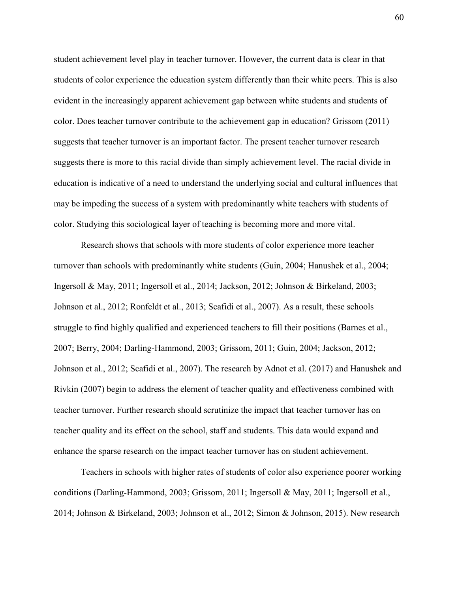student achievement level play in teacher turnover. However, the current data is clear in that students of color experience the education system differently than their white peers. This is also evident in the increasingly apparent achievement gap between white students and students of color. Does teacher turnover contribute to the achievement gap in education? Grissom (2011) suggests that teacher turnover is an important factor. The present teacher turnover research suggests there is more to this racial divide than simply achievement level. The racial divide in education is indicative of a need to understand the underlying social and cultural influences that may be impeding the success of a system with predominantly white teachers with students of color. Studying this sociological layer of teaching is becoming more and more vital.

Research shows that schools with more students of color experience more teacher turnover than schools with predominantly white students (Guin, 2004; Hanushek et al., 2004; Ingersoll & May, 2011; Ingersoll et al., 2014; Jackson, 2012; Johnson & Birkeland, 2003; Johnson et al., 2012; Ronfeldt et al., 2013; Scafidi et al., 2007). As a result, these schools struggle to find highly qualified and experienced teachers to fill their positions (Barnes et al., 2007; Berry, 2004; Darling-Hammond, 2003; Grissom, 2011; Guin, 2004; Jackson, 2012; Johnson et al., 2012; Scafidi et al., 2007). The research by Adnot et al. (2017) and Hanushek and Rivkin (2007) begin to address the element of teacher quality and effectiveness combined with teacher turnover. Further research should scrutinize the impact that teacher turnover has on teacher quality and its effect on the school, staff and students. This data would expand and enhance the sparse research on the impact teacher turnover has on student achievement.

Teachers in schools with higher rates of students of color also experience poorer working conditions (Darling-Hammond, 2003; Grissom, 2011; Ingersoll & May, 2011; Ingersoll et al., 2014; Johnson & Birkeland, 2003; Johnson et al., 2012; Simon & Johnson, 2015). New research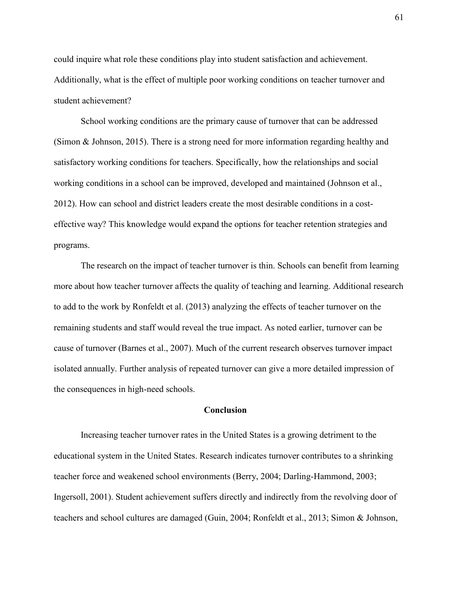could inquire what role these conditions play into student satisfaction and achievement. Additionally, what is the effect of multiple poor working conditions on teacher turnover and student achievement?

School working conditions are the primary cause of turnover that can be addressed (Simon & Johnson, 2015). There is a strong need for more information regarding healthy and satisfactory working conditions for teachers. Specifically, how the relationships and social working conditions in a school can be improved, developed and maintained (Johnson et al., 2012). How can school and district leaders create the most desirable conditions in a costeffective way? This knowledge would expand the options for teacher retention strategies and programs.

The research on the impact of teacher turnover is thin. Schools can benefit from learning more about how teacher turnover affects the quality of teaching and learning. Additional research to add to the work by Ronfeldt et al. (2013) analyzing the effects of teacher turnover on the remaining students and staff would reveal the true impact. As noted earlier, turnover can be cause of turnover (Barnes et al., 2007). Much of the current research observes turnover impact isolated annually. Further analysis of repeated turnover can give a more detailed impression of the consequences in high-need schools.

#### **Conclusion**

Increasing teacher turnover rates in the United States is a growing detriment to the educational system in the United States. Research indicates turnover contributes to a shrinking teacher force and weakened school environments (Berry, 2004; Darling-Hammond, 2003; Ingersoll, 2001). Student achievement suffers directly and indirectly from the revolving door of teachers and school cultures are damaged (Guin, 2004; Ronfeldt et al., 2013; Simon & Johnson,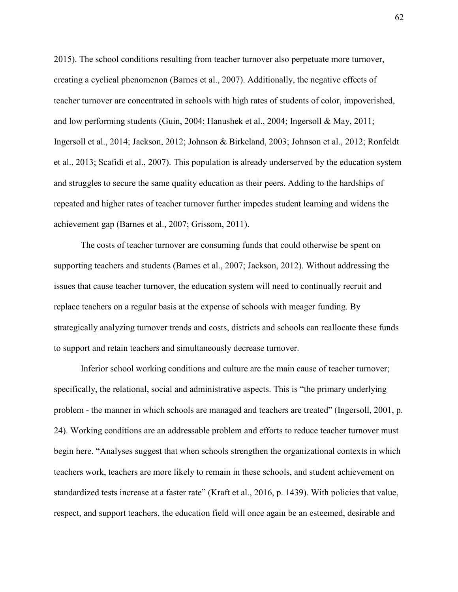2015). The school conditions resulting from teacher turnover also perpetuate more turnover, creating a cyclical phenomenon (Barnes et al., 2007). Additionally, the negative effects of teacher turnover are concentrated in schools with high rates of students of color, impoverished, and low performing students (Guin, 2004; Hanushek et al., 2004; Ingersoll & May, 2011; Ingersoll et al., 2014; Jackson, 2012; Johnson & Birkeland, 2003; Johnson et al., 2012; Ronfeldt et al., 2013; Scafidi et al., 2007). This population is already underserved by the education system and struggles to secure the same quality education as their peers. Adding to the hardships of repeated and higher rates of teacher turnover further impedes student learning and widens the achievement gap (Barnes et al., 2007; Grissom, 2011).

The costs of teacher turnover are consuming funds that could otherwise be spent on supporting teachers and students (Barnes et al., 2007; Jackson, 2012). Without addressing the issues that cause teacher turnover, the education system will need to continually recruit and replace teachers on a regular basis at the expense of schools with meager funding. By strategically analyzing turnover trends and costs, districts and schools can reallocate these funds to support and retain teachers and simultaneously decrease turnover.

Inferior school working conditions and culture are the main cause of teacher turnover; specifically, the relational, social and administrative aspects. This is "the primary underlying problem - the manner in which schools are managed and teachers are treated" (Ingersoll, 2001, p. 24). Working conditions are an addressable problem and efforts to reduce teacher turnover must begin here. "Analyses suggest that when schools strengthen the organizational contexts in which teachers work, teachers are more likely to remain in these schools, and student achievement on standardized tests increase at a faster rate" (Kraft et al., 2016, p. 1439). With policies that value, respect, and support teachers, the education field will once again be an esteemed, desirable and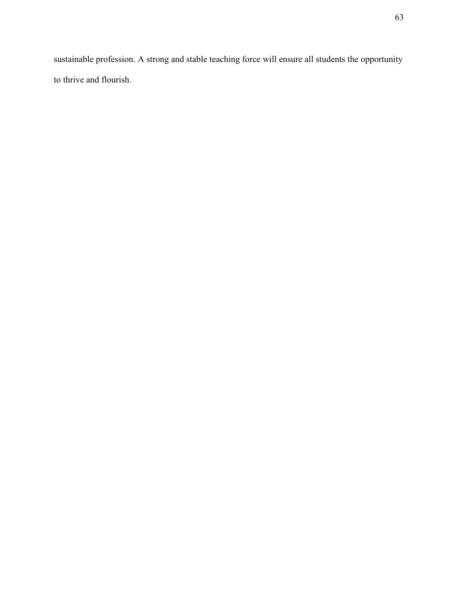sustainable profession. A strong and stable teaching force will ensure all students the opportunity to thrive and flourish.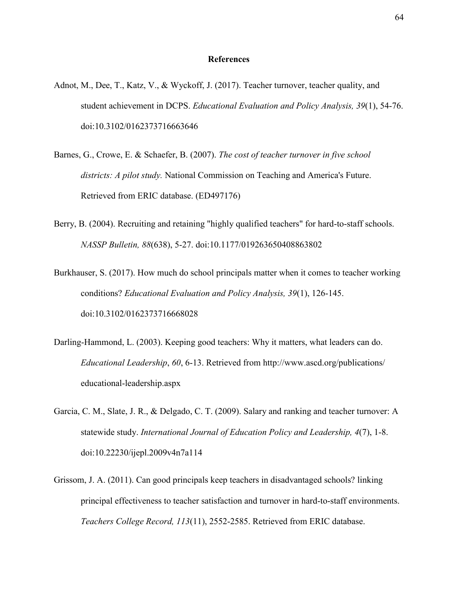#### **References**

- Adnot, M., Dee, T., Katz, V., & Wyckoff, J. (2017). Teacher turnover, teacher quality, and student achievement in DCPS. *Educational Evaluation and Policy Analysis, 39*(1), 54-76. doi:10.3102/0162373716663646
- Barnes, G., Crowe, E. & Schaefer, B. (2007). *The cost of teacher turnover in five school districts: A pilot study.* National Commission on Teaching and America's Future. Retrieved from ERIC database. (ED497176)
- Berry, B. (2004). Recruiting and retaining "highly qualified teachers" for hard-to-staff schools. *NASSP Bulletin, 88*(638), 5-27. doi:10.1177/019263650408863802
- Burkhauser, S. (2017). How much do school principals matter when it comes to teacher working conditions? *Educational Evaluation and Policy Analysis, 39*(1), 126-145. doi[:10.3102/0162373716668028](http://dx.doi.org/10.3102/0162373716668028)
- Darling-Hammond, L. (2003). Keeping good teachers: Why it matters, what leaders can do. *Educational Leadership*, *60*, 6-13. Retrieved from<http://www.ascd.org/publications/> educational-leadership.aspx
- Garcia, C. M., Slate, J. R., & Delgado, C. T. (2009). Salary and ranking and teacher turnover: A statewide study. *International Journal of Education Policy and Leadership, 4*(7), 1-8. doi[:10.22230/ijepl.2009v4n7a114](http://dx.doi.org/10.22230/ijepl.2009v4n7a114)
- Grissom, J. A. (2011). Can good principals keep teachers in disadvantaged schools? linking principal effectiveness to teacher satisfaction and turnover in hard-to-staff environments. *Teachers College Record, 113*(11), 2552-2585. Retrieved from ERIC database.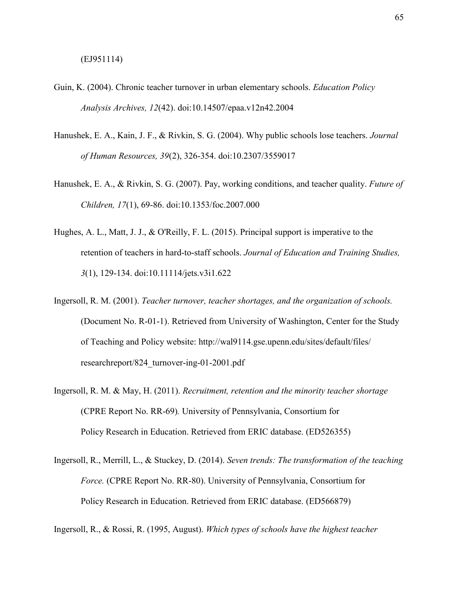- Guin, K. (2004). Chronic teacher turnover in urban elementary schools. *Education Policy Analysis Archives, 12*(42). doi:10.14507/epaa.v12n42.2004
- Hanushek, E. A., Kain, J. F., & Rivkin, S. G. (2004). Why public schools lose teachers. *Journal of Human Resources, 39*(2), 326-354. doi:10.2307/3559017
- Hanushek, E. A., & Rivkin, S. G. (2007). Pay, working conditions, and teacher quality. *Future of Children, 17*(1), 69-86. doi[:10.1353/foc.2007.000](http://dx.doi.org/10.1353/foc.2007.0002)
- Hughes, A. L., Matt, J. J., & O'Reilly, F. L. (2015). Principal support is imperative to the retention of teachers in hard-to-staff schools. *Journal of Education and Training Studies, 3*(1), 129-134. doi:10.11114/jets.v3i1.622
- Ingersoll, R. M. (2001). *Teacher turnover, teacher shortages, and the organization of schools.* (Document No. R-01-1). Retrieved from University of Washington, Center for the Study of Teaching and Policy website: [http://wal9114.gse.upenn.edu/sites/default/files/](http://wal9114.gse.upenn.edu/sites/default/files/researchreport/824_turnover-ing-01-2001.pdf) [researchreport/824\\_turnover-ing-01-2001.pdf](http://wal9114.gse.upenn.edu/sites/default/files/researchreport/824_turnover-ing-01-2001.pdf)
- Ingersoll, R. M. & May, H. (2011). *Recruitment, retention and the minority teacher shortage*  (CPRE Report No. RR-69)*.* University of Pennsylvania, Consortium for Policy Research in Education. Retrieved from ERIC database. (ED526355)
- Ingersoll, R., Merrill, L., & Stuckey, D. (2014). *Seven trends: The transformation of the teaching Force.* (CPRE Report No. RR-80). University of Pennsylvania, Consortium for Policy Research in Education. Retrieved from ERIC database. (ED566879)

Ingersoll, R., & Rossi, R. (1995, August). *Which types of schools have the highest teacher*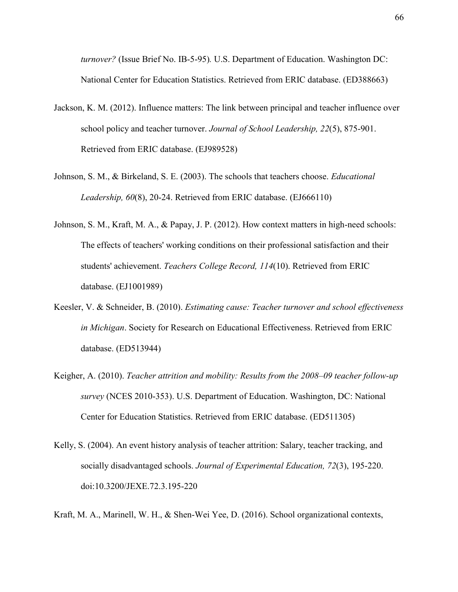*turnover?* (Issue Brief No. IB-5-95)*.* U.S. Department of Education. Washington DC: National Center for Education Statistics. Retrieved from ERIC database. (ED388663)

- Jackson, K. M. (2012). Influence matters: The link between principal and teacher influence over school policy and teacher turnover. *Journal of School Leadership, 22*(5), 875-901. Retrieved from ERIC database. (EJ989528)
- Johnson, S. M., & Birkeland, S. E. (2003). The schools that teachers choose. *Educational Leadership, 60*(8), 20-24. Retrieved from ERIC database. (EJ666110)
- Johnson, S. M., Kraft, M. A., & Papay, J. P. (2012). How context matters in high-need schools: The effects of teachers' working conditions on their professional satisfaction and their students' achievement. *Teachers College Record, 114*(10). Retrieved from ERIC database. (EJ1001989)
- Keesler, V. & Schneider, B. (2010). *Estimating cause: Teacher turnover and school effectiveness in Michigan*. Society for Research on Educational Effectiveness. Retrieved from ERIC database. (ED513944)
- Keigher, A. (2010). *Teacher attrition and mobility: Results from the 2008–09 teacher follow-up survey* (NCES 2010-353). U.S. Department of Education. Washington, DC: National Center for Education Statistics. Retrieved from ERIC database. (ED511305)
- Kelly, S. (2004). An event history analysis of teacher attrition: Salary, teacher tracking, and socially disadvantaged schools. *Journal of Experimental Education, 72*(3), 195-220. doi[:10.3200/JEXE.72.3.195-220](http://dx.doi.org/10.3200/JEXE.72.3.195-220)
- Kraft, M. A., Marinell, W. H., & Shen-Wei Yee, D. (2016). School organizational contexts,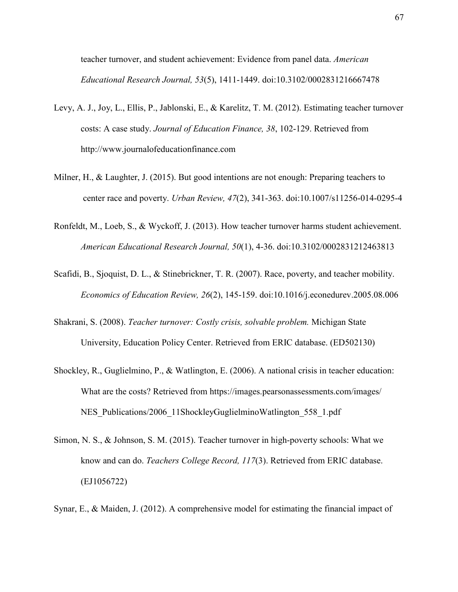teacher turnover, and student achievement: Evidence from panel data. *American Educational Research Journal, 53*(5), 1411-1449. doi:10.3102/0002831216667478

- Levy, A. J., Joy, L., Ellis, P., Jablonski, E., & Karelitz, T. M. (2012). Estimating teacher turnover costs: A case study. *Journal of Education Finance, 38*, 102-129. Retrieved from [http://www.journalofeducationfinance.com](http://www.journalofeducationfinance.com/)
- Milner, H., & Laughter, J. (2015). But good intentions are not enough: Preparing teachers to center race and poverty. *Urban Review, 47*(2), 341-363. doi:10.1007/s11256-014-0295-4
- Ronfeldt, M., Loeb, S., & Wyckoff, J. (2013). How teacher turnover harms student achievement. *American Educational Research Journal, 50*(1), 4-36. doi:10.3102/0002831212463813
- Scafidi, B., Sjoquist, D. L., & Stinebrickner, T. R. (2007). Race, poverty, and teacher mobility. *Economics of Education Review, 26*(2), 145-159. doi:10.1016/j.econedurev.2005.08.006
- Shakrani, S. (2008). *Teacher turnover: Costly crisis, solvable problem.* Michigan State University, Education Policy Center. Retrieved from ERIC database. (ED502130)
- Shockley, R., Guglielmino, P., & Watlington, E. (2006). A national crisis in teacher education: What are the costs? Retrieved from https://images.pearsonassessments.com/images/ NES Publications/2006 11ShockleyGuglielminoWatlington 558 1.pdf
- Simon, N. S., & Johnson, S. M. (2015). Teacher turnover in high-poverty schools: What we know and can do. *Teachers College Record, 117*(3). Retrieved from ERIC database. (EJ1056722)
- Synar, E., & Maiden, J. (2012). A comprehensive model for estimating the financial impact of